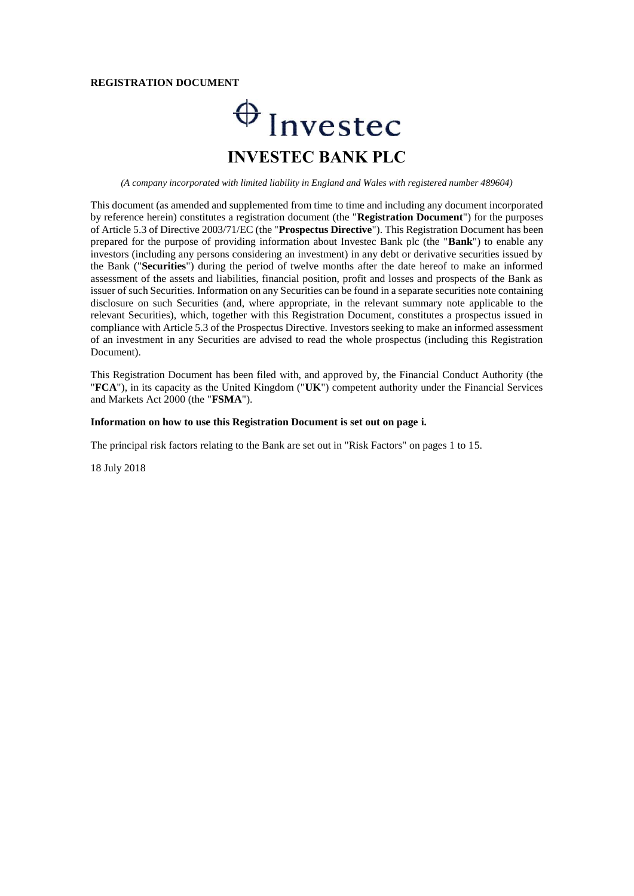#### **REGISTRATION DOCUMENT**

# $\bigoplus$  Invested **INVESTEC BANK PLC**

*(A company incorporated with limited liability in England and Wales with registered number 489604)*

This document (as amended and supplemented from time to time and including any document incorporated by reference herein) constitutes a registration document (the "**Registration Document**") for the purposes of Article 5.3 of Directive 2003/71/EC (the "**Prospectus Directive**"). This Registration Document has been prepared for the purpose of providing information about Investec Bank plc (the "**Bank**") to enable any investors (including any persons considering an investment) in any debt or derivative securities issued by the Bank ("**Securities**") during the period of twelve months after the date hereof to make an informed assessment of the assets and liabilities, financial position, profit and losses and prospects of the Bank as issuer of such Securities. Information on any Securities can be found in a separate securities note containing disclosure on such Securities (and, where appropriate, in the relevant summary note applicable to the relevant Securities), which, together with this Registration Document, constitutes a prospectus issued in compliance with Article 5.3 of the Prospectus Directive. Investors seeking to make an informed assessment of an investment in any Securities are advised to read the whole prospectus (including this Registration Document).

This Registration Document has been filed with, and approved by, the Financial Conduct Authority (the "**FCA**"), in its capacity as the United Kingdom ("**UK**") competent authority under the Financial Services and Markets Act 2000 (the "**FSMA**").

#### **Information on how to use this Registration Document is set out on page i.**

The principal risk factors relating to the Bank are set out in "Risk Factors" on pages 1 to 15.

18 July 2018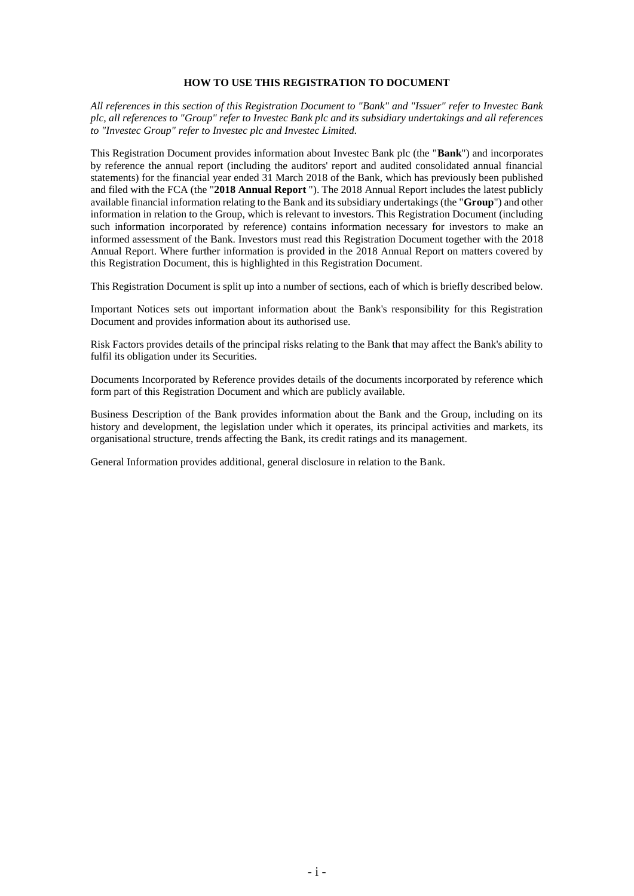## **HOW TO USE THIS REGISTRATION TO DOCUMENT**

*All references in this section of this Registration Document to "Bank" and "Issuer" refer to Investec Bank plc, all references to "Group" refer to Investec Bank plc and its subsidiary undertakings and all references to "Investec Group" refer to Investec plc and Investec Limited.*

This Registration Document provides information about Investec Bank plc (the "**Bank**") and incorporates by reference the annual report (including the auditors' report and audited consolidated annual financial statements) for the financial year ended 31 March 2018 of the Bank, which has previously been published and filed with the FCA (the "**2018 Annual Report** "). The 2018 Annual Report includes the latest publicly available financial information relating to the Bank and its subsidiary undertakings (the "**Group**") and other information in relation to the Group, which is relevant to investors. This Registration Document (including such information incorporated by reference) contains information necessary for investors to make an informed assessment of the Bank. Investors must read this Registration Document together with the 2018 Annual Report. Where further information is provided in the 2018 Annual Report on matters covered by this Registration Document, this is highlighted in this Registration Document.

This Registration Document is split up into a number of sections, each of which is briefly described below.

Important Notices sets out important information about the Bank's responsibility for this Registration Document and provides information about its authorised use.

Risk Factors provides details of the principal risks relating to the Bank that may affect the Bank's ability to fulfil its obligation under its Securities.

Documents Incorporated by Reference provides details of the documents incorporated by reference which form part of this Registration Document and which are publicly available.

Business Description of the Bank provides information about the Bank and the Group, including on its history and development, the legislation under which it operates, its principal activities and markets, its organisational structure, trends affecting the Bank, its credit ratings and its management.

General Information provides additional, general disclosure in relation to the Bank.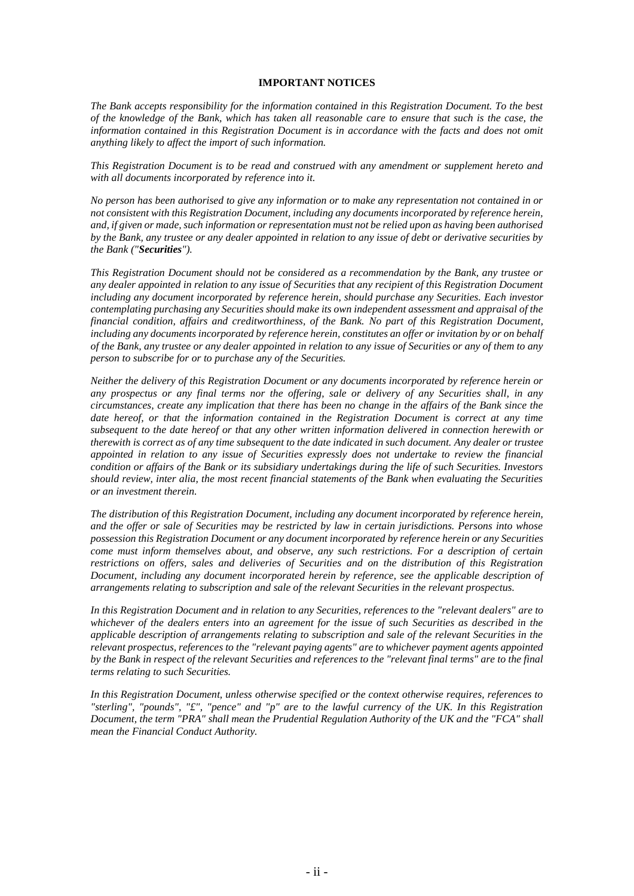## **IMPORTANT NOTICES**

*The Bank accepts responsibility for the information contained in this Registration Document. To the best of the knowledge of the Bank, which has taken all reasonable care to ensure that such is the case, the information contained in this Registration Document is in accordance with the facts and does not omit anything likely to affect the import of such information.*

*This Registration Document is to be read and construed with any amendment or supplement hereto and with all documents incorporated by reference into it.*

*No person has been authorised to give any information or to make any representation not contained in or not consistent with this Registration Document, including any documents incorporated by reference herein, and, if given or made, such information or representation must not be relied upon as having been authorised by the Bank, any trustee or any dealer appointed in relation to any issue of debt or derivative securities by the Bank ("Securities").*

*This Registration Document should not be considered as a recommendation by the Bank, any trustee or any dealer appointed in relation to any issue of Securities that any recipient of this Registration Document including any document incorporated by reference herein, should purchase any Securities. Each investor contemplating purchasing any Securities should make its own independent assessment and appraisal of the financial condition, affairs and creditworthiness, of the Bank. No part of this Registration Document, including any documents incorporated by reference herein, constitutes an offer or invitation by or on behalf of the Bank, any trustee or any dealer appointed in relation to any issue of Securities or any of them to any person to subscribe for or to purchase any of the Securities.*

*Neither the delivery of this Registration Document or any documents incorporated by reference herein or any prospectus or any final terms nor the offering, sale or delivery of any Securities shall, in any circumstances, create any implication that there has been no change in the affairs of the Bank since the date hereof, or that the information contained in the Registration Document is correct at any time subsequent to the date hereof or that any other written information delivered in connection herewith or therewith is correct as of any time subsequent to the date indicated in such document. Any dealer or trustee appointed in relation to any issue of Securities expressly does not undertake to review the financial condition or affairs of the Bank or its subsidiary undertakings during the life of such Securities. Investors should review, inter alia, the most recent financial statements of the Bank when evaluating the Securities or an investment therein.*

*The distribution of this Registration Document, including any document incorporated by reference herein, and the offer or sale of Securities may be restricted by law in certain jurisdictions. Persons into whose possession this Registration Document or any document incorporated by reference herein or any Securities come must inform themselves about, and observe, any such restrictions. For a description of certain restrictions on offers, sales and deliveries of Securities and on the distribution of this Registration Document, including any document incorporated herein by reference, see the applicable description of arrangements relating to subscription and sale of the relevant Securities in the relevant prospectus.*

*In this Registration Document and in relation to any Securities, references to the "relevant dealers" are to whichever of the dealers enters into an agreement for the issue of such Securities as described in the applicable description of arrangements relating to subscription and sale of the relevant Securities in the relevant prospectus, references to the "relevant paying agents" are to whichever payment agents appointed by the Bank in respect of the relevant Securities and references to the "relevant final terms" are to the final terms relating to such Securities.*

*In this Registration Document, unless otherwise specified or the context otherwise requires, references to "sterling", "pounds", "£", "pence" and "p" are to the lawful currency of the UK. In this Registration Document, the term "PRA" shall mean the Prudential Regulation Authority of the UK and the "FCA" shall mean the Financial Conduct Authority.*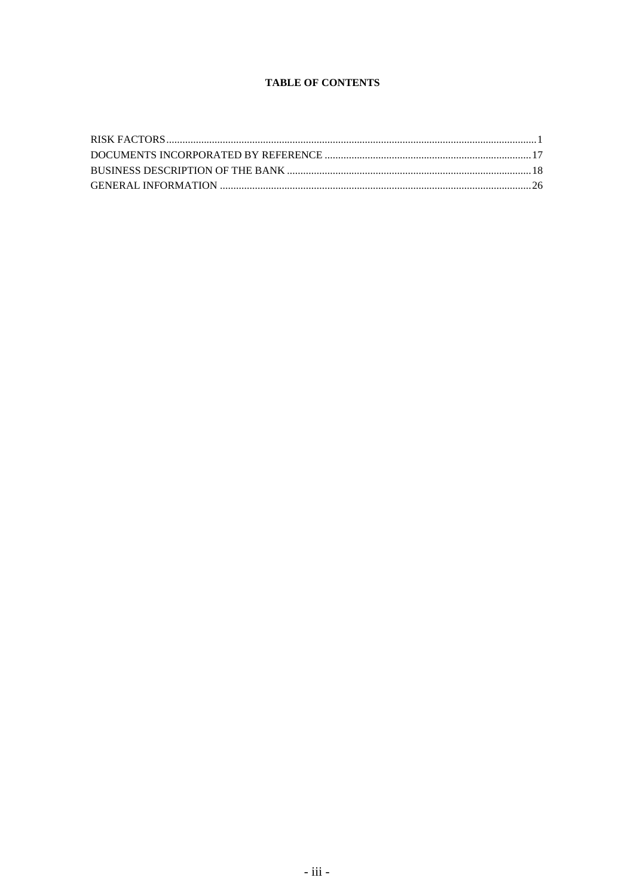# **TABLE OF CONTENTS**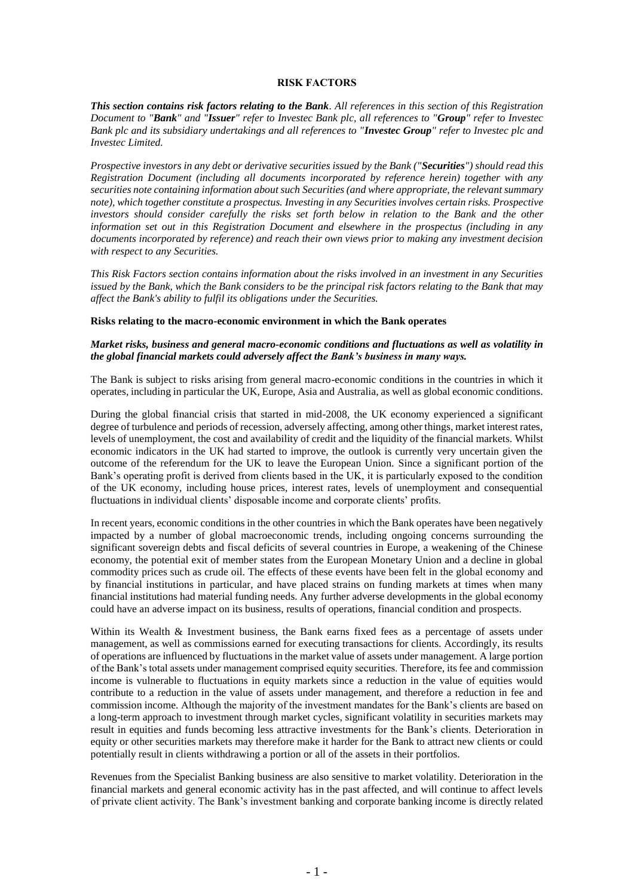#### **RISK FACTORS**

*This section contains risk factors relating to the Bank. All references in this section of this Registration Document to "Bank" and "Issuer" refer to Investec Bank plc, all references to "Group" refer to Investec Bank plc and its subsidiary undertakings and all references to "Investec Group" refer to Investec plc and Investec Limited.*

*Prospective investors in any debt or derivative securities issued by the Bank ("Securities") should read this Registration Document (including all documents incorporated by reference herein) together with any securities note containing information about such Securities (and where appropriate, the relevant summary note), which together constitute a prospectus. Investing in any Securities involves certain risks. Prospective investors should consider carefully the risks set forth below in relation to the Bank and the other information set out in this Registration Document and elsewhere in the prospectus (including in any documents incorporated by reference) and reach their own views prior to making any investment decision with respect to any Securities.*

*This Risk Factors section contains information about the risks involved in an investment in any Securities issued by the Bank, which the Bank considers to be the principal risk factors relating to the Bank that may affect the Bank's ability to fulfil its obligations under the Securities.*

#### **Risks relating to the macro-economic environment in which the Bank operates**

## *Market risks, business and general macro-economic conditions and fluctuations as well as volatility in the global financial markets could adversely affect the Bank's business in many ways.*

The Bank is subject to risks arising from general macro-economic conditions in the countries in which it operates, including in particular the UK, Europe, Asia and Australia, as well as global economic conditions.

During the global financial crisis that started in mid-2008, the UK economy experienced a significant degree of turbulence and periods of recession, adversely affecting, among other things, market interest rates, levels of unemployment, the cost and availability of credit and the liquidity of the financial markets. Whilst economic indicators in the UK had started to improve, the outlook is currently very uncertain given the outcome of the referendum for the UK to leave the European Union. Since a significant portion of the Bank's operating profit is derived from clients based in the UK, it is particularly exposed to the condition of the UK economy, including house prices, interest rates, levels of unemployment and consequential fluctuations in individual clients' disposable income and corporate clients' profits.

In recent years, economic conditions in the other countries in which the Bank operates have been negatively impacted by a number of global macroeconomic trends, including ongoing concerns surrounding the significant sovereign debts and fiscal deficits of several countries in Europe, a weakening of the Chinese economy, the potential exit of member states from the European Monetary Union and a decline in global commodity prices such as crude oil. The effects of these events have been felt in the global economy and by financial institutions in particular, and have placed strains on funding markets at times when many financial institutions had material funding needs. Any further adverse developments in the global economy could have an adverse impact on its business, results of operations, financial condition and prospects.

Within its Wealth & Investment business, the Bank earns fixed fees as a percentage of assets under management, as well as commissions earned for executing transactions for clients. Accordingly, its results of operations are influenced by fluctuations in the market value of assets under management. A large portion of the Bank's total assets under management comprised equity securities. Therefore, its fee and commission income is vulnerable to fluctuations in equity markets since a reduction in the value of equities would contribute to a reduction in the value of assets under management, and therefore a reduction in fee and commission income. Although the majority of the investment mandates for the Bank's clients are based on a long-term approach to investment through market cycles, significant volatility in securities markets may result in equities and funds becoming less attractive investments for the Bank's clients. Deterioration in equity or other securities markets may therefore make it harder for the Bank to attract new clients or could potentially result in clients withdrawing a portion or all of the assets in their portfolios.

Revenues from the Specialist Banking business are also sensitive to market volatility. Deterioration in the financial markets and general economic activity has in the past affected, and will continue to affect levels of private client activity. The Bank's investment banking and corporate banking income is directly related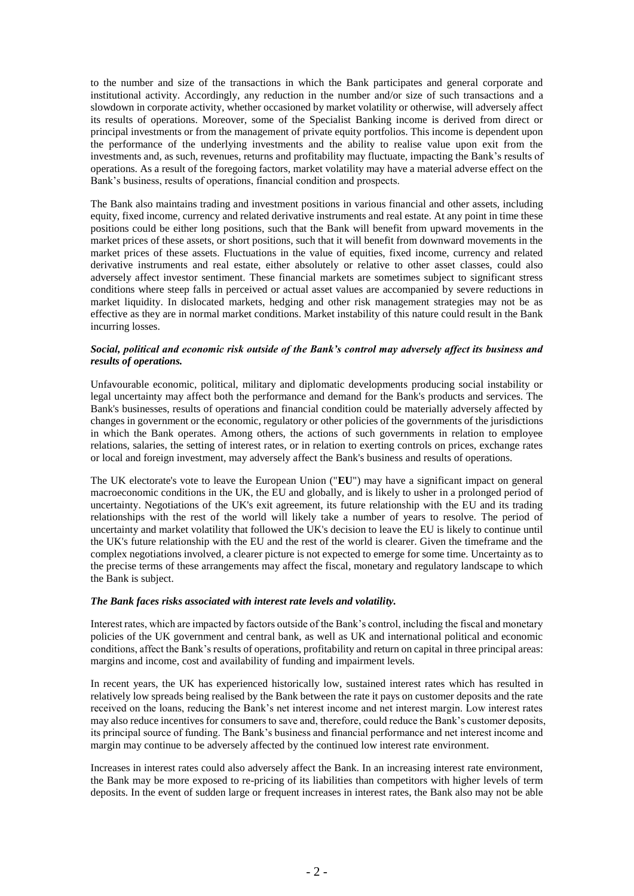to the number and size of the transactions in which the Bank participates and general corporate and institutional activity. Accordingly, any reduction in the number and/or size of such transactions and a slowdown in corporate activity, whether occasioned by market volatility or otherwise, will adversely affect its results of operations. Moreover, some of the Specialist Banking income is derived from direct or principal investments or from the management of private equity portfolios. This income is dependent upon the performance of the underlying investments and the ability to realise value upon exit from the investments and, as such, revenues, returns and profitability may fluctuate, impacting the Bank's results of operations. As a result of the foregoing factors, market volatility may have a material adverse effect on the Bank's business, results of operations, financial condition and prospects.

The Bank also maintains trading and investment positions in various financial and other assets, including equity, fixed income, currency and related derivative instruments and real estate. At any point in time these positions could be either long positions, such that the Bank will benefit from upward movements in the market prices of these assets, or short positions, such that it will benefit from downward movements in the market prices of these assets. Fluctuations in the value of equities, fixed income, currency and related derivative instruments and real estate, either absolutely or relative to other asset classes, could also adversely affect investor sentiment. These financial markets are sometimes subject to significant stress conditions where steep falls in perceived or actual asset values are accompanied by severe reductions in market liquidity. In dislocated markets, hedging and other risk management strategies may not be as effective as they are in normal market conditions. Market instability of this nature could result in the Bank incurring losses.

## *Social, political and economic risk outside of the Bank's control may adversely affect its business and results of operations.*

Unfavourable economic, political, military and diplomatic developments producing social instability or legal uncertainty may affect both the performance and demand for the Bank's products and services. The Bank's businesses, results of operations and financial condition could be materially adversely affected by changes in government or the economic, regulatory or other policies of the governments of the jurisdictions in which the Bank operates. Among others, the actions of such governments in relation to employee relations, salaries, the setting of interest rates, or in relation to exerting controls on prices, exchange rates or local and foreign investment, may adversely affect the Bank's business and results of operations.

The UK electorate's vote to leave the European Union ("**EU**") may have a significant impact on general macroeconomic conditions in the UK, the EU and globally, and is likely to usher in a prolonged period of uncertainty. Negotiations of the UK's exit agreement, its future relationship with the EU and its trading relationships with the rest of the world will likely take a number of years to resolve. The period of uncertainty and market volatility that followed the UK's decision to leave the EU is likely to continue until the UK's future relationship with the EU and the rest of the world is clearer. Given the timeframe and the complex negotiations involved, a clearer picture is not expected to emerge for some time. Uncertainty as to the precise terms of these arrangements may affect the fiscal, monetary and regulatory landscape to which the Bank is subject.

## *The Bank faces risks associated with interest rate levels and volatility.*

Interest rates, which are impacted by factors outside of the Bank's control, including the fiscal and monetary policies of the UK government and central bank, as well as UK and international political and economic conditions, affect the Bank's results of operations, profitability and return on capital in three principal areas: margins and income, cost and availability of funding and impairment levels.

In recent years, the UK has experienced historically low, sustained interest rates which has resulted in relatively low spreads being realised by the Bank between the rate it pays on customer deposits and the rate received on the loans, reducing the Bank's net interest income and net interest margin. Low interest rates may also reduce incentives for consumers to save and, therefore, could reduce the Bank's customer deposits, its principal source of funding. The Bank's business and financial performance and net interest income and margin may continue to be adversely affected by the continued low interest rate environment.

Increases in interest rates could also adversely affect the Bank. In an increasing interest rate environment, the Bank may be more exposed to re-pricing of its liabilities than competitors with higher levels of term deposits. In the event of sudden large or frequent increases in interest rates, the Bank also may not be able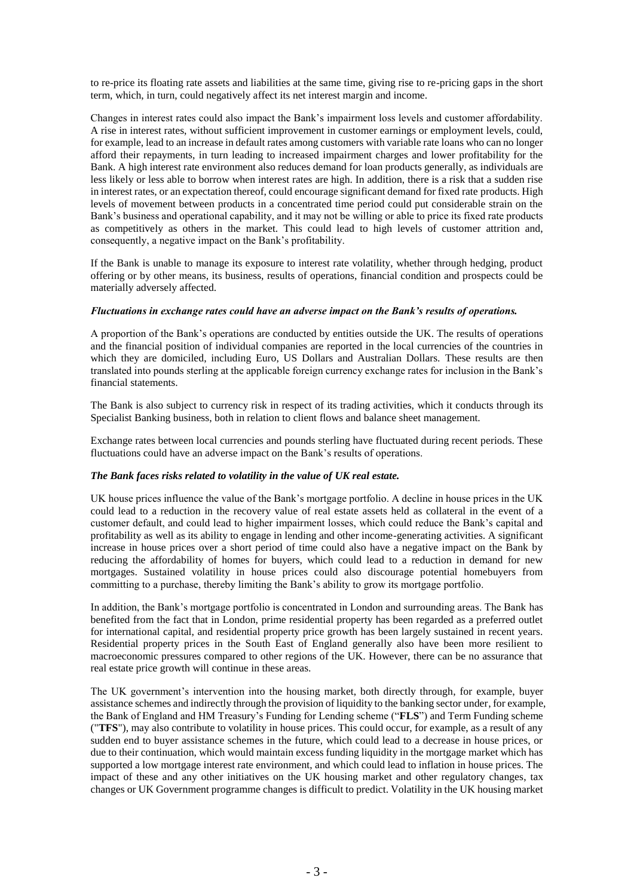to re-price its floating rate assets and liabilities at the same time, giving rise to re-pricing gaps in the short term, which, in turn, could negatively affect its net interest margin and income.

Changes in interest rates could also impact the Bank's impairment loss levels and customer affordability. A rise in interest rates, without sufficient improvement in customer earnings or employment levels, could, for example, lead to an increase in default rates among customers with variable rate loans who can no longer afford their repayments, in turn leading to increased impairment charges and lower profitability for the Bank. A high interest rate environment also reduces demand for loan products generally, as individuals are less likely or less able to borrow when interest rates are high. In addition, there is a risk that a sudden rise in interest rates, or an expectation thereof, could encourage significant demand for fixed rate products. High levels of movement between products in a concentrated time period could put considerable strain on the Bank's business and operational capability, and it may not be willing or able to price its fixed rate products as competitively as others in the market. This could lead to high levels of customer attrition and, consequently, a negative impact on the Bank's profitability.

If the Bank is unable to manage its exposure to interest rate volatility, whether through hedging, product offering or by other means, its business, results of operations, financial condition and prospects could be materially adversely affected.

#### *Fluctuations in exchange rates could have an adverse impact on the Bank's results of operations.*

A proportion of the Bank's operations are conducted by entities outside the UK. The results of operations and the financial position of individual companies are reported in the local currencies of the countries in which they are domiciled, including Euro, US Dollars and Australian Dollars. These results are then translated into pounds sterling at the applicable foreign currency exchange rates for inclusion in the Bank's financial statements.

The Bank is also subject to currency risk in respect of its trading activities, which it conducts through its Specialist Banking business, both in relation to client flows and balance sheet management.

Exchange rates between local currencies and pounds sterling have fluctuated during recent periods. These fluctuations could have an adverse impact on the Bank's results of operations.

#### *The Bank faces risks related to volatility in the value of UK real estate.*

UK house prices influence the value of the Bank's mortgage portfolio. A decline in house prices in the UK could lead to a reduction in the recovery value of real estate assets held as collateral in the event of a customer default, and could lead to higher impairment losses, which could reduce the Bank's capital and profitability as well as its ability to engage in lending and other income-generating activities. A significant increase in house prices over a short period of time could also have a negative impact on the Bank by reducing the affordability of homes for buyers, which could lead to a reduction in demand for new mortgages. Sustained volatility in house prices could also discourage potential homebuyers from committing to a purchase, thereby limiting the Bank's ability to grow its mortgage portfolio.

In addition, the Bank's mortgage portfolio is concentrated in London and surrounding areas. The Bank has benefited from the fact that in London, prime residential property has been regarded as a preferred outlet for international capital, and residential property price growth has been largely sustained in recent years. Residential property prices in the South East of England generally also have been more resilient to macroeconomic pressures compared to other regions of the UK. However, there can be no assurance that real estate price growth will continue in these areas.

The UK government's intervention into the housing market, both directly through, for example, buyer assistance schemes and indirectly through the provision of liquidity to the banking sector under, for example, the Bank of England and HM Treasury's Funding for Lending scheme ("**FLS**") and Term Funding scheme ("**TFS**"), may also contribute to volatility in house prices. This could occur, for example, as a result of any sudden end to buyer assistance schemes in the future, which could lead to a decrease in house prices, or due to their continuation, which would maintain excess funding liquidity in the mortgage market which has supported a low mortgage interest rate environment, and which could lead to inflation in house prices. The impact of these and any other initiatives on the UK housing market and other regulatory changes, tax changes or UK Government programme changes is difficult to predict. Volatility in the UK housing market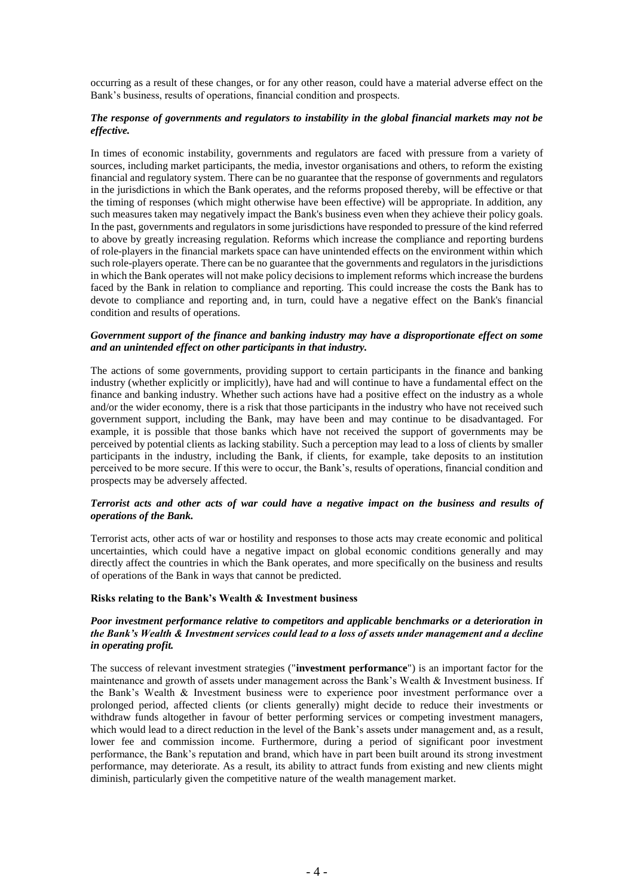occurring as a result of these changes, or for any other reason, could have a material adverse effect on the Bank's business, results of operations, financial condition and prospects.

## *The response of governments and regulators to instability in the global financial markets may not be effective.*

In times of economic instability, governments and regulators are faced with pressure from a variety of sources, including market participants, the media, investor organisations and others, to reform the existing financial and regulatory system. There can be no guarantee that the response of governments and regulators in the jurisdictions in which the Bank operates, and the reforms proposed thereby, will be effective or that the timing of responses (which might otherwise have been effective) will be appropriate. In addition, any such measures taken may negatively impact the Bank's business even when they achieve their policy goals. In the past, governments and regulators in some jurisdictions have responded to pressure of the kind referred to above by greatly increasing regulation. Reforms which increase the compliance and reporting burdens of role-players in the financial markets space can have unintended effects on the environment within which such role-players operate. There can be no guarantee that the governments and regulators in the jurisdictions in which the Bank operates will not make policy decisions to implement reforms which increase the burdens faced by the Bank in relation to compliance and reporting. This could increase the costs the Bank has to devote to compliance and reporting and, in turn, could have a negative effect on the Bank's financial condition and results of operations.

#### *Government support of the finance and banking industry may have a disproportionate effect on some and an unintended effect on other participants in that industry.*

The actions of some governments, providing support to certain participants in the finance and banking industry (whether explicitly or implicitly), have had and will continue to have a fundamental effect on the finance and banking industry. Whether such actions have had a positive effect on the industry as a whole and/or the wider economy, there is a risk that those participants in the industry who have not received such government support, including the Bank, may have been and may continue to be disadvantaged. For example, it is possible that those banks which have not received the support of governments may be perceived by potential clients as lacking stability. Such a perception may lead to a loss of clients by smaller participants in the industry, including the Bank, if clients, for example, take deposits to an institution perceived to be more secure. If this were to occur, the Bank's, results of operations, financial condition and prospects may be adversely affected.

## *Terrorist acts and other acts of war could have a negative impact on the business and results of operations of the Bank.*

Terrorist acts, other acts of war or hostility and responses to those acts may create economic and political uncertainties, which could have a negative impact on global economic conditions generally and may directly affect the countries in which the Bank operates, and more specifically on the business and results of operations of the Bank in ways that cannot be predicted.

#### **Risks relating to the Bank's Wealth & Investment business**

### *Poor investment performance relative to competitors and applicable benchmarks or a deterioration in the Bank's Wealth & Investment services could lead to a loss of assets under management and a decline in operating profit.*

The success of relevant investment strategies ("**investment performance**") is an important factor for the maintenance and growth of assets under management across the Bank's Wealth & Investment business. If the Bank's Wealth & Investment business were to experience poor investment performance over a prolonged period, affected clients (or clients generally) might decide to reduce their investments or withdraw funds altogether in favour of better performing services or competing investment managers, which would lead to a direct reduction in the level of the Bank's assets under management and, as a result, lower fee and commission income. Furthermore, during a period of significant poor investment performance, the Bank's reputation and brand, which have in part been built around its strong investment performance, may deteriorate. As a result, its ability to attract funds from existing and new clients might diminish, particularly given the competitive nature of the wealth management market.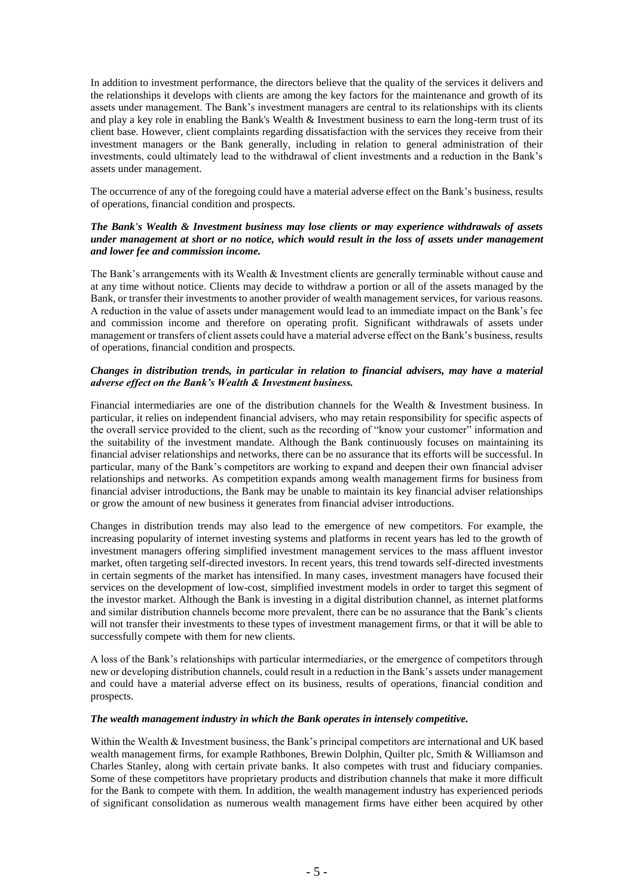In addition to investment performance, the directors believe that the quality of the services it delivers and the relationships it develops with clients are among the key factors for the maintenance and growth of its assets under management. The Bank's investment managers are central to its relationships with its clients and play a key role in enabling the Bank's Wealth & Investment business to earn the long-term trust of its client base. However, client complaints regarding dissatisfaction with the services they receive from their investment managers or the Bank generally, including in relation to general administration of their investments, could ultimately lead to the withdrawal of client investments and a reduction in the Bank's assets under management.

The occurrence of any of the foregoing could have a material adverse effect on the Bank's business, results of operations, financial condition and prospects.

## *The Bank's Wealth & Investment business may lose clients or may experience withdrawals of assets under management at short or no notice, which would result in the loss of assets under management and lower fee and commission income.*

The Bank's arrangements with its Wealth & Investment clients are generally terminable without cause and at any time without notice. Clients may decide to withdraw a portion or all of the assets managed by the Bank, or transfer their investments to another provider of wealth management services, for various reasons. A reduction in the value of assets under management would lead to an immediate impact on the Bank's fee and commission income and therefore on operating profit. Significant withdrawals of assets under management or transfers of client assets could have a material adverse effect on the Bank's business, results of operations, financial condition and prospects.

## *Changes in distribution trends, in particular in relation to financial advisers, may have a material adverse effect on the Bank's Wealth & Investment business.*

Financial intermediaries are one of the distribution channels for the Wealth & Investment business. In particular, it relies on independent financial advisers, who may retain responsibility for specific aspects of the overall service provided to the client, such as the recording of "know your customer" information and the suitability of the investment mandate. Although the Bank continuously focuses on maintaining its financial adviser relationships and networks, there can be no assurance that its efforts will be successful. In particular, many of the Bank's competitors are working to expand and deepen their own financial adviser relationships and networks. As competition expands among wealth management firms for business from financial adviser introductions, the Bank may be unable to maintain its key financial adviser relationships or grow the amount of new business it generates from financial adviser introductions.

Changes in distribution trends may also lead to the emergence of new competitors. For example, the increasing popularity of internet investing systems and platforms in recent years has led to the growth of investment managers offering simplified investment management services to the mass affluent investor market, often targeting self-directed investors. In recent years, this trend towards self-directed investments in certain segments of the market has intensified. In many cases, investment managers have focused their services on the development of low-cost, simplified investment models in order to target this segment of the investor market. Although the Bank is investing in a digital distribution channel, as internet platforms and similar distribution channels become more prevalent, there can be no assurance that the Bank's clients will not transfer their investments to these types of investment management firms, or that it will be able to successfully compete with them for new clients.

A loss of the Bank's relationships with particular intermediaries, or the emergence of competitors through new or developing distribution channels, could result in a reduction in the Bank's assets under management and could have a material adverse effect on its business, results of operations, financial condition and prospects.

## *The wealth management industry in which the Bank operates in intensely competitive.*

Within the Wealth & Investment business, the Bank's principal competitors are international and UK based wealth management firms, for example Rathbones, Brewin Dolphin, Quilter plc, Smith & Williamson and Charles Stanley, along with certain private banks. It also competes with trust and fiduciary companies. Some of these competitors have proprietary products and distribution channels that make it more difficult for the Bank to compete with them. In addition, the wealth management industry has experienced periods of significant consolidation as numerous wealth management firms have either been acquired by other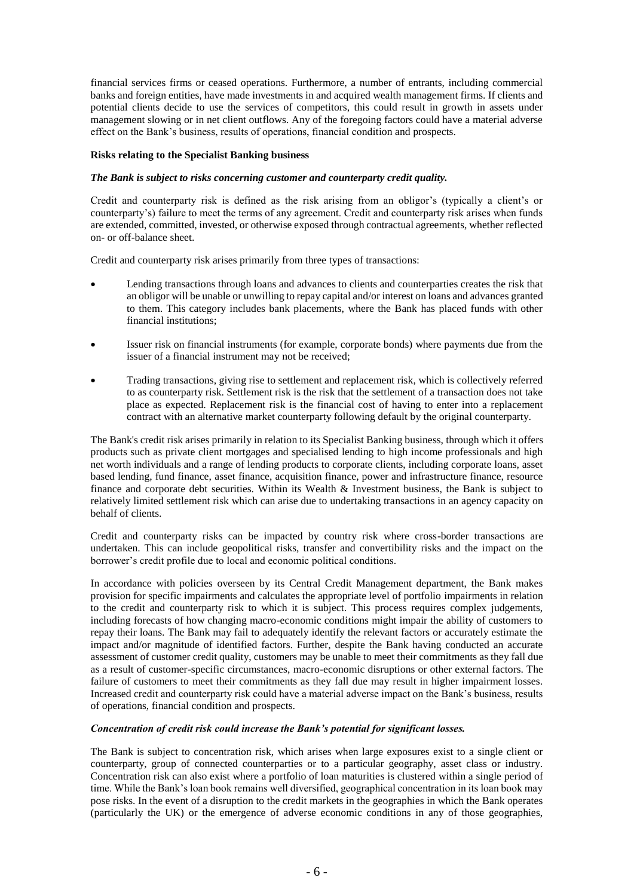financial services firms or ceased operations. Furthermore, a number of entrants, including commercial banks and foreign entities, have made investments in and acquired wealth management firms. If clients and potential clients decide to use the services of competitors, this could result in growth in assets under management slowing or in net client outflows. Any of the foregoing factors could have a material adverse effect on the Bank's business, results of operations, financial condition and prospects.

#### **Risks relating to the Specialist Banking business**

#### *The Bank is subject to risks concerning customer and counterparty credit quality.*

Credit and counterparty risk is defined as the risk arising from an obligor's (typically a client's or counterparty's) failure to meet the terms of any agreement. Credit and counterparty risk arises when funds are extended, committed, invested, or otherwise exposed through contractual agreements, whether reflected on- or off-balance sheet.

Credit and counterparty risk arises primarily from three types of transactions:

- Lending transactions through loans and advances to clients and counterparties creates the risk that an obligor will be unable or unwilling to repay capital and/or interest on loans and advances granted to them. This category includes bank placements, where the Bank has placed funds with other financial institutions;
- Issuer risk on financial instruments (for example, corporate bonds) where payments due from the issuer of a financial instrument may not be received;
- Trading transactions, giving rise to settlement and replacement risk, which is collectively referred to as counterparty risk. Settlement risk is the risk that the settlement of a transaction does not take place as expected. Replacement risk is the financial cost of having to enter into a replacement contract with an alternative market counterparty following default by the original counterparty.

The Bank's credit risk arises primarily in relation to its Specialist Banking business, through which it offers products such as private client mortgages and specialised lending to high income professionals and high net worth individuals and a range of lending products to corporate clients, including corporate loans, asset based lending, fund finance, asset finance, acquisition finance, power and infrastructure finance, resource finance and corporate debt securities. Within its Wealth & Investment business, the Bank is subject to relatively limited settlement risk which can arise due to undertaking transactions in an agency capacity on behalf of clients.

Credit and counterparty risks can be impacted by country risk where cross-border transactions are undertaken. This can include geopolitical risks, transfer and convertibility risks and the impact on the borrower's credit profile due to local and economic political conditions.

In accordance with policies overseen by its Central Credit Management department, the Bank makes provision for specific impairments and calculates the appropriate level of portfolio impairments in relation to the credit and counterparty risk to which it is subject. This process requires complex judgements, including forecasts of how changing macro-economic conditions might impair the ability of customers to repay their loans. The Bank may fail to adequately identify the relevant factors or accurately estimate the impact and/or magnitude of identified factors. Further, despite the Bank having conducted an accurate assessment of customer credit quality, customers may be unable to meet their commitments as they fall due as a result of customer-specific circumstances, macro-economic disruptions or other external factors. The failure of customers to meet their commitments as they fall due may result in higher impairment losses. Increased credit and counterparty risk could have a material adverse impact on the Bank's business, results of operations, financial condition and prospects.

## *Concentration of credit risk could increase the Bank's potential for significant losses.*

The Bank is subject to concentration risk, which arises when large exposures exist to a single client or counterparty, group of connected counterparties or to a particular geography, asset class or industry. Concentration risk can also exist where a portfolio of loan maturities is clustered within a single period of time. While the Bank's loan book remains well diversified, geographical concentration in its loan book may pose risks. In the event of a disruption to the credit markets in the geographies in which the Bank operates (particularly the UK) or the emergence of adverse economic conditions in any of those geographies,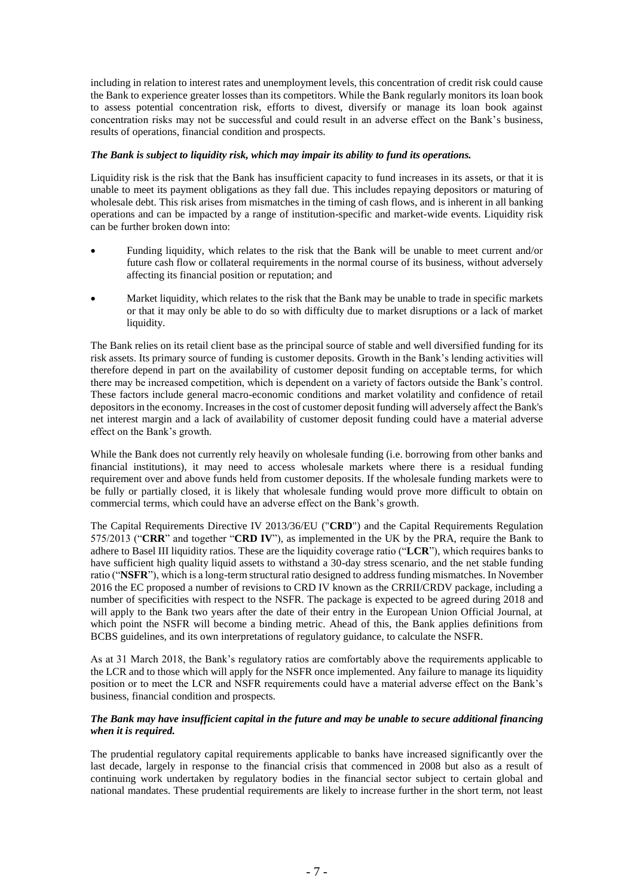including in relation to interest rates and unemployment levels, this concentration of credit risk could cause the Bank to experience greater losses than its competitors. While the Bank regularly monitors its loan book to assess potential concentration risk, efforts to divest, diversify or manage its loan book against concentration risks may not be successful and could result in an adverse effect on the Bank's business, results of operations, financial condition and prospects.

## *The Bank is subject to liquidity risk, which may impair its ability to fund its operations.*

Liquidity risk is the risk that the Bank has insufficient capacity to fund increases in its assets, or that it is unable to meet its payment obligations as they fall due. This includes repaying depositors or maturing of wholesale debt. This risk arises from mismatches in the timing of cash flows, and is inherent in all banking operations and can be impacted by a range of institution-specific and market-wide events. Liquidity risk can be further broken down into:

- Funding liquidity, which relates to the risk that the Bank will be unable to meet current and/or future cash flow or collateral requirements in the normal course of its business, without adversely affecting its financial position or reputation; and
- Market liquidity, which relates to the risk that the Bank may be unable to trade in specific markets or that it may only be able to do so with difficulty due to market disruptions or a lack of market liquidity.

The Bank relies on its retail client base as the principal source of stable and well diversified funding for its risk assets. Its primary source of funding is customer deposits. Growth in the Bank's lending activities will therefore depend in part on the availability of customer deposit funding on acceptable terms, for which there may be increased competition, which is dependent on a variety of factors outside the Bank's control. These factors include general macro-economic conditions and market volatility and confidence of retail depositors in the economy. Increases in the cost of customer deposit funding will adversely affect the Bank's net interest margin and a lack of availability of customer deposit funding could have a material adverse effect on the Bank's growth.

While the Bank does not currently rely heavily on wholesale funding (*i.e. borrowing from other banks and* financial institutions), it may need to access wholesale markets where there is a residual funding requirement over and above funds held from customer deposits. If the wholesale funding markets were to be fully or partially closed, it is likely that wholesale funding would prove more difficult to obtain on commercial terms, which could have an adverse effect on the Bank's growth.

The Capital Requirements Directive IV 2013/36/EU ("**CRD**") and the Capital Requirements Regulation 575/2013 ("**CRR**" and together "**CRD IV**"), as implemented in the UK by the PRA, require the Bank to adhere to Basel III liquidity ratios. These are the liquidity coverage ratio ("**LCR**"), which requires banks to have sufficient high quality liquid assets to withstand a 30-day stress scenario, and the net stable funding ratio ("**NSFR**"), which is a long-term structural ratio designed to address funding mismatches. In November 2016 the EC proposed a number of revisions to CRD IV known as the CRRII/CRDV package, including a number of specificities with respect to the NSFR. The package is expected to be agreed during 2018 and will apply to the Bank two years after the date of their entry in the European Union Official Journal, at which point the NSFR will become a binding metric. Ahead of this, the Bank applies definitions from BCBS guidelines, and its own interpretations of regulatory guidance, to calculate the NSFR.

As at 31 March 2018, the Bank's regulatory ratios are comfortably above the requirements applicable to the LCR and to those which will apply for the NSFR once implemented. Any failure to manage its liquidity position or to meet the LCR and NSFR requirements could have a material adverse effect on the Bank's business, financial condition and prospects.

#### *The Bank may have insufficient capital in the future and may be unable to secure additional financing when it is required.*

The prudential regulatory capital requirements applicable to banks have increased significantly over the last decade, largely in response to the financial crisis that commenced in 2008 but also as a result of continuing work undertaken by regulatory bodies in the financial sector subject to certain global and national mandates. These prudential requirements are likely to increase further in the short term, not least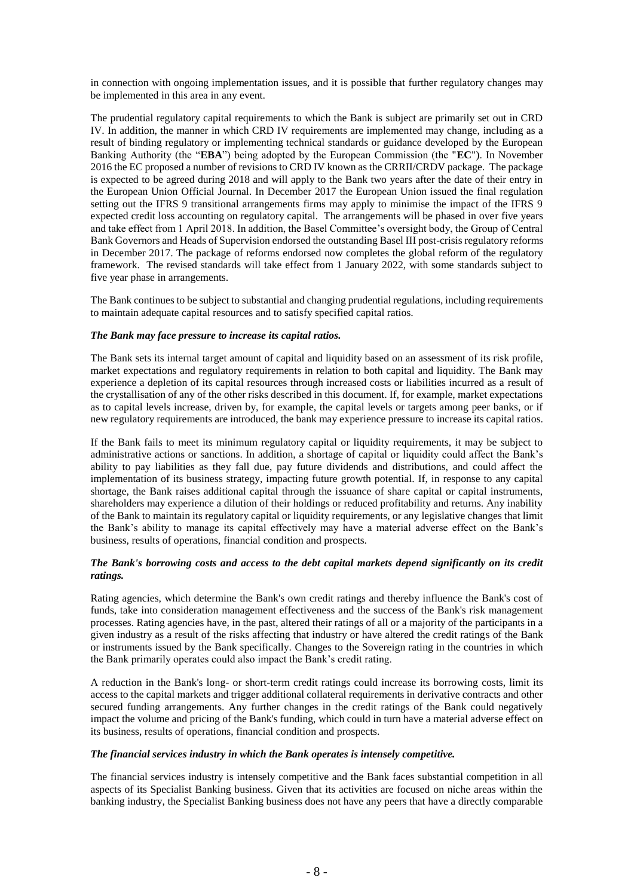in connection with ongoing implementation issues, and it is possible that further regulatory changes may be implemented in this area in any event.

The prudential regulatory capital requirements to which the Bank is subject are primarily set out in CRD IV. In addition, the manner in which CRD IV requirements are implemented may change, including as a result of binding regulatory or implementing technical standards or guidance developed by the European Banking Authority (the "**EBA**") being adopted by the European Commission (the "**EC**"). In November 2016 the EC proposed a number of revisions to CRD IV known as the CRRII/CRDV package. The package is expected to be agreed during 2018 and will apply to the Bank two years after the date of their entry in the European Union Official Journal. In December 2017 the European Union issued the final regulation setting out the IFRS 9 transitional arrangements firms may apply to minimise the impact of the IFRS 9 expected credit loss accounting on regulatory capital. The arrangements will be phased in over five years and take effect from 1 April 2018. In addition, the Basel Committee's oversight body, the Group of Central Bank Governors and Heads of Supervision endorsed the outstanding Basel III post-crisis regulatory reforms in December 2017. The package of reforms endorsed now completes the global reform of the regulatory framework. The revised standards will take effect from 1 January 2022, with some standards subject to five year phase in arrangements.

The Bank continues to be subject to substantial and changing prudential regulations, including requirements to maintain adequate capital resources and to satisfy specified capital ratios.

## *The Bank may face pressure to increase its capital ratios.*

The Bank sets its internal target amount of capital and liquidity based on an assessment of its risk profile, market expectations and regulatory requirements in relation to both capital and liquidity. The Bank may experience a depletion of its capital resources through increased costs or liabilities incurred as a result of the crystallisation of any of the other risks described in this document. If, for example, market expectations as to capital levels increase, driven by, for example, the capital levels or targets among peer banks, or if new regulatory requirements are introduced, the bank may experience pressure to increase its capital ratios.

If the Bank fails to meet its minimum regulatory capital or liquidity requirements, it may be subject to administrative actions or sanctions. In addition, a shortage of capital or liquidity could affect the Bank's ability to pay liabilities as they fall due, pay future dividends and distributions, and could affect the implementation of its business strategy, impacting future growth potential. If, in response to any capital shortage, the Bank raises additional capital through the issuance of share capital or capital instruments, shareholders may experience a dilution of their holdings or reduced profitability and returns. Any inability of the Bank to maintain its regulatory capital or liquidity requirements, or any legislative changes that limit the Bank's ability to manage its capital effectively may have a material adverse effect on the Bank's business, results of operations, financial condition and prospects.

## *The Bank's borrowing costs and access to the debt capital markets depend significantly on its credit ratings.*

Rating agencies, which determine the Bank's own credit ratings and thereby influence the Bank's cost of funds, take into consideration management effectiveness and the success of the Bank's risk management processes. Rating agencies have, in the past, altered their ratings of all or a majority of the participants in a given industry as a result of the risks affecting that industry or have altered the credit ratings of the Bank or instruments issued by the Bank specifically. Changes to the Sovereign rating in the countries in which the Bank primarily operates could also impact the Bank's credit rating.

A reduction in the Bank's long- or short-term credit ratings could increase its borrowing costs, limit its access to the capital markets and trigger additional collateral requirements in derivative contracts and other secured funding arrangements. Any further changes in the credit ratings of the Bank could negatively impact the volume and pricing of the Bank's funding, which could in turn have a material adverse effect on its business, results of operations, financial condition and prospects.

#### *The financial services industry in which the Bank operates is intensely competitive.*

The financial services industry is intensely competitive and the Bank faces substantial competition in all aspects of its Specialist Banking business. Given that its activities are focused on niche areas within the banking industry, the Specialist Banking business does not have any peers that have a directly comparable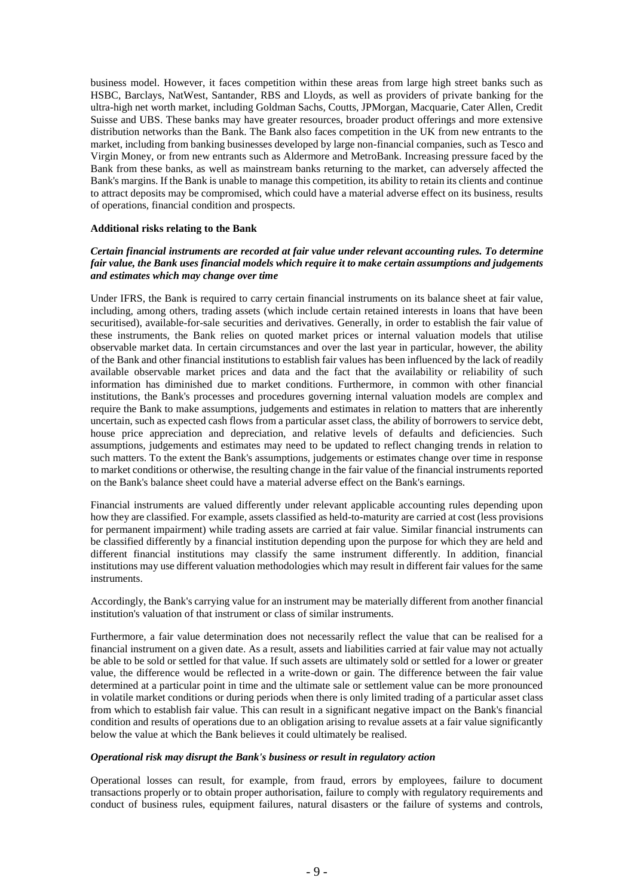business model. However, it faces competition within these areas from large high street banks such as HSBC, Barclays, NatWest, Santander, RBS and Lloyds, as well as providers of private banking for the ultra-high net worth market, including Goldman Sachs, Coutts, JPMorgan, Macquarie, Cater Allen, Credit Suisse and UBS. These banks may have greater resources, broader product offerings and more extensive distribution networks than the Bank. The Bank also faces competition in the UK from new entrants to the market, including from banking businesses developed by large non-financial companies, such as Tesco and Virgin Money, or from new entrants such as Aldermore and MetroBank. Increasing pressure faced by the Bank from these banks, as well as mainstream banks returning to the market, can adversely affected the Bank's margins. If the Bank is unable to manage this competition, its ability to retain its clients and continue to attract deposits may be compromised, which could have a material adverse effect on its business, results of operations, financial condition and prospects.

#### **Additional risks relating to the Bank**

## *Certain financial instruments are recorded at fair value under relevant accounting rules. To determine fair value, the Bank uses financial models which require it to make certain assumptions and judgements and estimates which may change over time*

Under IFRS, the Bank is required to carry certain financial instruments on its balance sheet at fair value, including, among others, trading assets (which include certain retained interests in loans that have been securitised), available-for-sale securities and derivatives. Generally, in order to establish the fair value of these instruments, the Bank relies on quoted market prices or internal valuation models that utilise observable market data. In certain circumstances and over the last year in particular, however, the ability of the Bank and other financial institutions to establish fair values has been influenced by the lack of readily available observable market prices and data and the fact that the availability or reliability of such information has diminished due to market conditions. Furthermore, in common with other financial institutions, the Bank's processes and procedures governing internal valuation models are complex and require the Bank to make assumptions, judgements and estimates in relation to matters that are inherently uncertain, such as expected cash flows from a particular asset class, the ability of borrowers to service debt, house price appreciation and depreciation, and relative levels of defaults and deficiencies. Such assumptions, judgements and estimates may need to be updated to reflect changing trends in relation to such matters. To the extent the Bank's assumptions, judgements or estimates change over time in response to market conditions or otherwise, the resulting change in the fair value of the financial instruments reported on the Bank's balance sheet could have a material adverse effect on the Bank's earnings.

Financial instruments are valued differently under relevant applicable accounting rules depending upon how they are classified. For example, assets classified as held-to-maturity are carried at cost (less provisions for permanent impairment) while trading assets are carried at fair value. Similar financial instruments can be classified differently by a financial institution depending upon the purpose for which they are held and different financial institutions may classify the same instrument differently. In addition, financial institutions may use different valuation methodologies which may result in different fair values for the same instruments.

Accordingly, the Bank's carrying value for an instrument may be materially different from another financial institution's valuation of that instrument or class of similar instruments.

Furthermore, a fair value determination does not necessarily reflect the value that can be realised for a financial instrument on a given date. As a result, assets and liabilities carried at fair value may not actually be able to be sold or settled for that value. If such assets are ultimately sold or settled for a lower or greater value, the difference would be reflected in a write-down or gain. The difference between the fair value determined at a particular point in time and the ultimate sale or settlement value can be more pronounced in volatile market conditions or during periods when there is only limited trading of a particular asset class from which to establish fair value. This can result in a significant negative impact on the Bank's financial condition and results of operations due to an obligation arising to revalue assets at a fair value significantly below the value at which the Bank believes it could ultimately be realised.

## *Operational risk may disrupt the Bank's business or result in regulatory action*

Operational losses can result, for example, from fraud, errors by employees, failure to document transactions properly or to obtain proper authorisation, failure to comply with regulatory requirements and conduct of business rules, equipment failures, natural disasters or the failure of systems and controls,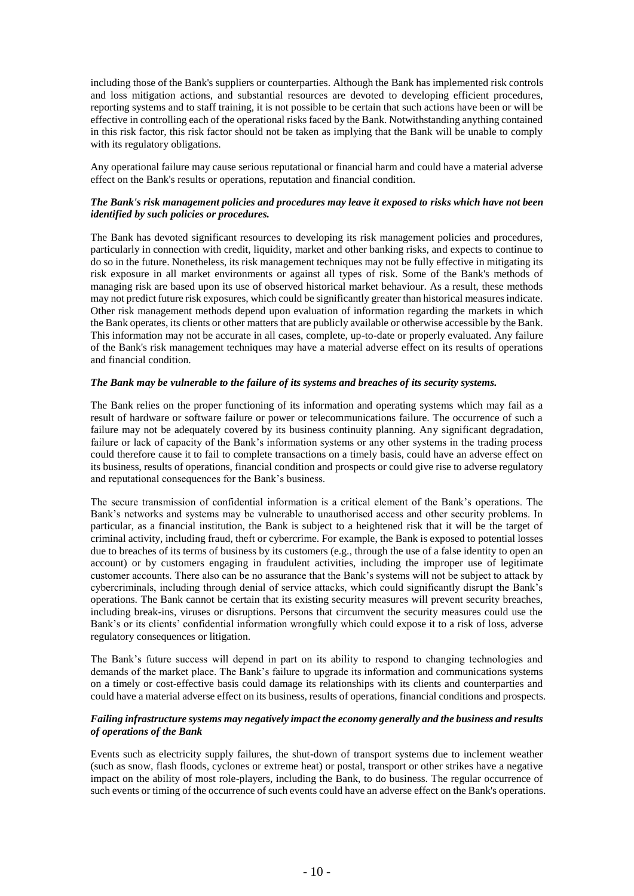including those of the Bank's suppliers or counterparties. Although the Bank has implemented risk controls and loss mitigation actions, and substantial resources are devoted to developing efficient procedures, reporting systems and to staff training, it is not possible to be certain that such actions have been or will be effective in controlling each of the operational risks faced by the Bank. Notwithstanding anything contained in this risk factor, this risk factor should not be taken as implying that the Bank will be unable to comply with its regulatory obligations.

Any operational failure may cause serious reputational or financial harm and could have a material adverse effect on the Bank's results or operations, reputation and financial condition.

## *The Bank's risk management policies and procedures may leave it exposed to risks which have not been identified by such policies or procedures.*

The Bank has devoted significant resources to developing its risk management policies and procedures, particularly in connection with credit, liquidity, market and other banking risks, and expects to continue to do so in the future. Nonetheless, its risk management techniques may not be fully effective in mitigating its risk exposure in all market environments or against all types of risk. Some of the Bank's methods of managing risk are based upon its use of observed historical market behaviour. As a result, these methods may not predict future risk exposures, which could be significantly greater than historical measures indicate. Other risk management methods depend upon evaluation of information regarding the markets in which the Bank operates, its clients or other matters that are publicly available or otherwise accessible by the Bank. This information may not be accurate in all cases, complete, up-to-date or properly evaluated. Any failure of the Bank's risk management techniques may have a material adverse effect on its results of operations and financial condition.

## *The Bank may be vulnerable to the failure of its systems and breaches of its security systems.*

The Bank relies on the proper functioning of its information and operating systems which may fail as a result of hardware or software failure or power or telecommunications failure. The occurrence of such a failure may not be adequately covered by its business continuity planning. Any significant degradation, failure or lack of capacity of the Bank's information systems or any other systems in the trading process could therefore cause it to fail to complete transactions on a timely basis, could have an adverse effect on its business, results of operations, financial condition and prospects or could give rise to adverse regulatory and reputational consequences for the Bank's business.

The secure transmission of confidential information is a critical element of the Bank's operations. The Bank's networks and systems may be vulnerable to unauthorised access and other security problems. In particular, as a financial institution, the Bank is subject to a heightened risk that it will be the target of criminal activity, including fraud, theft or cybercrime. For example, the Bank is exposed to potential losses due to breaches of its terms of business by its customers (e.g., through the use of a false identity to open an account) or by customers engaging in fraudulent activities, including the improper use of legitimate customer accounts. There also can be no assurance that the Bank's systems will not be subject to attack by cybercriminals, including through denial of service attacks, which could significantly disrupt the Bank's operations. The Bank cannot be certain that its existing security measures will prevent security breaches, including break-ins, viruses or disruptions. Persons that circumvent the security measures could use the Bank's or its clients' confidential information wrongfully which could expose it to a risk of loss, adverse regulatory consequences or litigation.

The Bank's future success will depend in part on its ability to respond to changing technologies and demands of the market place. The Bank's failure to upgrade its information and communications systems on a timely or cost-effective basis could damage its relationships with its clients and counterparties and could have a material adverse effect on its business, results of operations, financial conditions and prospects.

## *Failing infrastructure systems may negatively impact the economy generally and the business and results of operations of the Bank*

Events such as electricity supply failures, the shut-down of transport systems due to inclement weather (such as snow, flash floods, cyclones or extreme heat) or postal, transport or other strikes have a negative impact on the ability of most role-players, including the Bank, to do business. The regular occurrence of such events or timing of the occurrence of such events could have an adverse effect on the Bank's operations.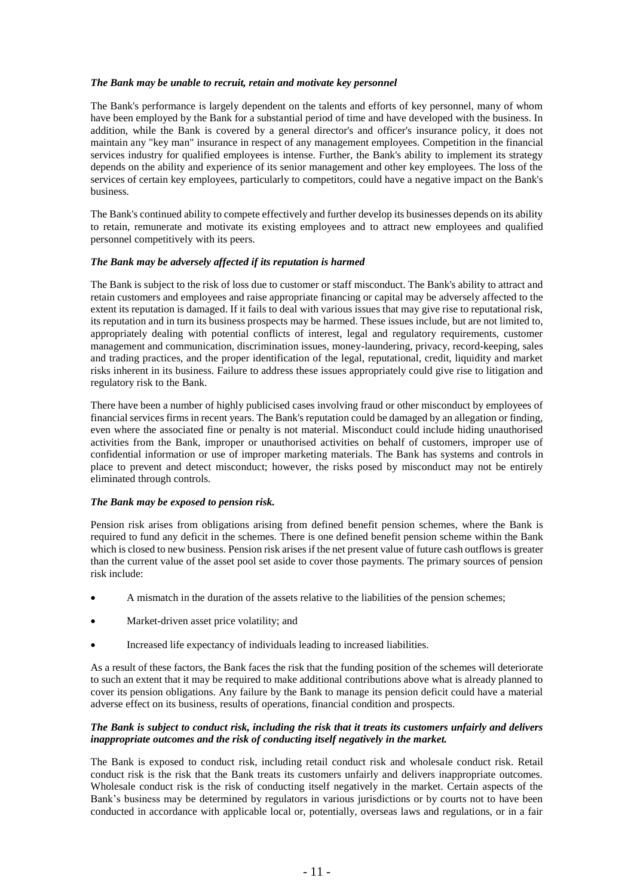## *The Bank may be unable to recruit, retain and motivate key personnel*

The Bank's performance is largely dependent on the talents and efforts of key personnel, many of whom have been employed by the Bank for a substantial period of time and have developed with the business. In addition, while the Bank is covered by a general director's and officer's insurance policy, it does not maintain any "key man" insurance in respect of any management employees. Competition in the financial services industry for qualified employees is intense. Further, the Bank's ability to implement its strategy depends on the ability and experience of its senior management and other key employees. The loss of the services of certain key employees, particularly to competitors, could have a negative impact on the Bank's business.

The Bank's continued ability to compete effectively and further develop its businesses depends on its ability to retain, remunerate and motivate its existing employees and to attract new employees and qualified personnel competitively with its peers.

#### *The Bank may be adversely affected if its reputation is harmed*

The Bank is subject to the risk of loss due to customer or staff misconduct. The Bank's ability to attract and retain customers and employees and raise appropriate financing or capital may be adversely affected to the extent its reputation is damaged. If it fails to deal with various issues that may give rise to reputational risk, its reputation and in turn its business prospects may be harmed. These issues include, but are not limited to, appropriately dealing with potential conflicts of interest, legal and regulatory requirements, customer management and communication, discrimination issues, money-laundering, privacy, record-keeping, sales and trading practices, and the proper identification of the legal, reputational, credit, liquidity and market risks inherent in its business. Failure to address these issues appropriately could give rise to litigation and regulatory risk to the Bank.

There have been a number of highly publicised cases involving fraud or other misconduct by employees of financial services firms in recent years. The Bank's reputation could be damaged by an allegation or finding, even where the associated fine or penalty is not material. Misconduct could include hiding unauthorised activities from the Bank, improper or unauthorised activities on behalf of customers, improper use of confidential information or use of improper marketing materials. The Bank has systems and controls in place to prevent and detect misconduct; however, the risks posed by misconduct may not be entirely eliminated through controls.

## *The Bank may be exposed to pension risk.*

Pension risk arises from obligations arising from defined benefit pension schemes, where the Bank is required to fund any deficit in the schemes. There is one defined benefit pension scheme within the Bank which is closed to new business. Pension risk arises if the net present value of future cash outflows is greater than the current value of the asset pool set aside to cover those payments. The primary sources of pension risk include:

- A mismatch in the duration of the assets relative to the liabilities of the pension schemes;
- Market-driven asset price volatility; and
- Increased life expectancy of individuals leading to increased liabilities.

As a result of these factors, the Bank faces the risk that the funding position of the schemes will deteriorate to such an extent that it may be required to make additional contributions above what is already planned to cover its pension obligations. Any failure by the Bank to manage its pension deficit could have a material adverse effect on its business, results of operations, financial condition and prospects.

#### *The Bank is subject to conduct risk, including the risk that it treats its customers unfairly and delivers inappropriate outcomes and the risk of conducting itself negatively in the market.*

The Bank is exposed to conduct risk, including retail conduct risk and wholesale conduct risk. Retail conduct risk is the risk that the Bank treats its customers unfairly and delivers inappropriate outcomes. Wholesale conduct risk is the risk of conducting itself negatively in the market. Certain aspects of the Bank's business may be determined by regulators in various jurisdictions or by courts not to have been conducted in accordance with applicable local or, potentially, overseas laws and regulations, or in a fair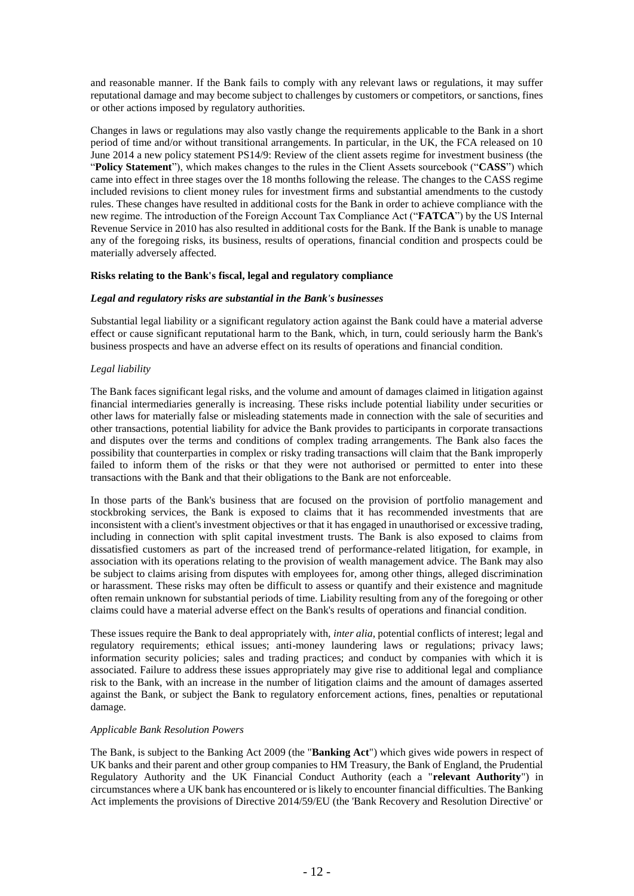and reasonable manner. If the Bank fails to comply with any relevant laws or regulations, it may suffer reputational damage and may become subject to challenges by customers or competitors, or sanctions, fines or other actions imposed by regulatory authorities.

Changes in laws or regulations may also vastly change the requirements applicable to the Bank in a short period of time and/or without transitional arrangements. In particular, in the UK, the FCA released on 10 June 2014 a new policy statement PS14/9: Review of the client assets regime for investment business (the "**Policy Statement**"), which makes changes to the rules in the Client Assets sourcebook ("**CASS**") which came into effect in three stages over the 18 months following the release. The changes to the CASS regime included revisions to client money rules for investment firms and substantial amendments to the custody rules. These changes have resulted in additional costs for the Bank in order to achieve compliance with the new regime. The introduction of the Foreign Account Tax Compliance Act ("**FATCA**") by the US Internal Revenue Service in 2010 has also resulted in additional costs for the Bank. If the Bank is unable to manage any of the foregoing risks, its business, results of operations, financial condition and prospects could be materially adversely affected.

## **Risks relating to the Bank's fiscal, legal and regulatory compliance**

#### *Legal and regulatory risks are substantial in the Bank's businesses*

Substantial legal liability or a significant regulatory action against the Bank could have a material adverse effect or cause significant reputational harm to the Bank, which, in turn, could seriously harm the Bank's business prospects and have an adverse effect on its results of operations and financial condition.

## *Legal liability*

The Bank faces significant legal risks, and the volume and amount of damages claimed in litigation against financial intermediaries generally is increasing. These risks include potential liability under securities or other laws for materially false or misleading statements made in connection with the sale of securities and other transactions, potential liability for advice the Bank provides to participants in corporate transactions and disputes over the terms and conditions of complex trading arrangements. The Bank also faces the possibility that counterparties in complex or risky trading transactions will claim that the Bank improperly failed to inform them of the risks or that they were not authorised or permitted to enter into these transactions with the Bank and that their obligations to the Bank are not enforceable.

In those parts of the Bank's business that are focused on the provision of portfolio management and stockbroking services, the Bank is exposed to claims that it has recommended investments that are inconsistent with a client's investment objectives or that it has engaged in unauthorised or excessive trading, including in connection with split capital investment trusts. The Bank is also exposed to claims from dissatisfied customers as part of the increased trend of performance-related litigation, for example, in association with its operations relating to the provision of wealth management advice. The Bank may also be subject to claims arising from disputes with employees for, among other things, alleged discrimination or harassment. These risks may often be difficult to assess or quantify and their existence and magnitude often remain unknown for substantial periods of time. Liability resulting from any of the foregoing or other claims could have a material adverse effect on the Bank's results of operations and financial condition.

These issues require the Bank to deal appropriately with, *inter alia*, potential conflicts of interest; legal and regulatory requirements; ethical issues; anti-money laundering laws or regulations; privacy laws; information security policies; sales and trading practices; and conduct by companies with which it is associated. Failure to address these issues appropriately may give rise to additional legal and compliance risk to the Bank, with an increase in the number of litigation claims and the amount of damages asserted against the Bank, or subject the Bank to regulatory enforcement actions, fines, penalties or reputational damage.

## *Applicable Bank Resolution Powers*

The Bank, is subject to the Banking Act 2009 (the "**Banking Act**") which gives wide powers in respect of UK banks and their parent and other group companies to HM Treasury, the Bank of England, the Prudential Regulatory Authority and the UK Financial Conduct Authority (each a "**relevant Authority**") in circumstances where a UK bank has encountered or is likely to encounter financial difficulties. The Banking Act implements the provisions of Directive 2014/59/EU (the 'Bank Recovery and Resolution Directive' or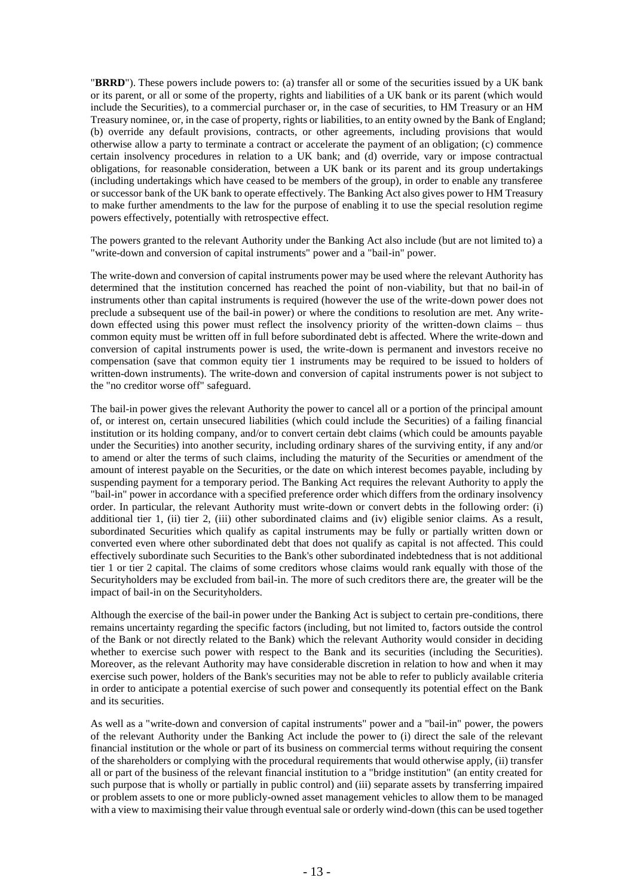"**BRRD**"). These powers include powers to: (a) transfer all or some of the securities issued by a UK bank or its parent, or all or some of the property, rights and liabilities of a UK bank or its parent (which would include the Securities), to a commercial purchaser or, in the case of securities, to HM Treasury or an HM Treasury nominee, or, in the case of property, rights or liabilities, to an entity owned by the Bank of England; (b) override any default provisions, contracts, or other agreements, including provisions that would otherwise allow a party to terminate a contract or accelerate the payment of an obligation; (c) commence certain insolvency procedures in relation to a UK bank; and (d) override, vary or impose contractual obligations, for reasonable consideration, between a UK bank or its parent and its group undertakings (including undertakings which have ceased to be members of the group), in order to enable any transferee or successor bank of the UK bank to operate effectively. The Banking Act also gives power to HM Treasury to make further amendments to the law for the purpose of enabling it to use the special resolution regime powers effectively, potentially with retrospective effect.

The powers granted to the relevant Authority under the Banking Act also include (but are not limited to) a "write-down and conversion of capital instruments" power and a "bail-in" power.

The write-down and conversion of capital instruments power may be used where the relevant Authority has determined that the institution concerned has reached the point of non-viability, but that no bail-in of instruments other than capital instruments is required (however the use of the write-down power does not preclude a subsequent use of the bail-in power) or where the conditions to resolution are met. Any writedown effected using this power must reflect the insolvency priority of the written-down claims – thus common equity must be written off in full before subordinated debt is affected. Where the write-down and conversion of capital instruments power is used, the write-down is permanent and investors receive no compensation (save that common equity tier 1 instruments may be required to be issued to holders of written-down instruments). The write-down and conversion of capital instruments power is not subject to the "no creditor worse off" safeguard.

The bail-in power gives the relevant Authority the power to cancel all or a portion of the principal amount of, or interest on, certain unsecured liabilities (which could include the Securities) of a failing financial institution or its holding company, and/or to convert certain debt claims (which could be amounts payable under the Securities) into another security, including ordinary shares of the surviving entity, if any and/or to amend or alter the terms of such claims, including the maturity of the Securities or amendment of the amount of interest payable on the Securities, or the date on which interest becomes payable, including by suspending payment for a temporary period. The Banking Act requires the relevant Authority to apply the "bail-in" power in accordance with a specified preference order which differs from the ordinary insolvency order. In particular, the relevant Authority must write-down or convert debts in the following order: (i) additional tier 1, (ii) tier 2, (iii) other subordinated claims and (iv) eligible senior claims. As a result, subordinated Securities which qualify as capital instruments may be fully or partially written down or converted even where other subordinated debt that does not qualify as capital is not affected. This could effectively subordinate such Securities to the Bank's other subordinated indebtedness that is not additional tier 1 or tier 2 capital. The claims of some creditors whose claims would rank equally with those of the Securityholders may be excluded from bail-in. The more of such creditors there are, the greater will be the impact of bail-in on the Securityholders.

Although the exercise of the bail-in power under the Banking Act is subject to certain pre-conditions, there remains uncertainty regarding the specific factors (including, but not limited to, factors outside the control of the Bank or not directly related to the Bank) which the relevant Authority would consider in deciding whether to exercise such power with respect to the Bank and its securities (including the Securities). Moreover, as the relevant Authority may have considerable discretion in relation to how and when it may exercise such power, holders of the Bank's securities may not be able to refer to publicly available criteria in order to anticipate a potential exercise of such power and consequently its potential effect on the Bank and its securities.

As well as a "write-down and conversion of capital instruments" power and a "bail-in" power, the powers of the relevant Authority under the Banking Act include the power to (i) direct the sale of the relevant financial institution or the whole or part of its business on commercial terms without requiring the consent of the shareholders or complying with the procedural requirements that would otherwise apply, (ii) transfer all or part of the business of the relevant financial institution to a "bridge institution" (an entity created for such purpose that is wholly or partially in public control) and (iii) separate assets by transferring impaired or problem assets to one or more publicly-owned asset management vehicles to allow them to be managed with a view to maximising their value through eventual sale or orderly wind-down (this can be used together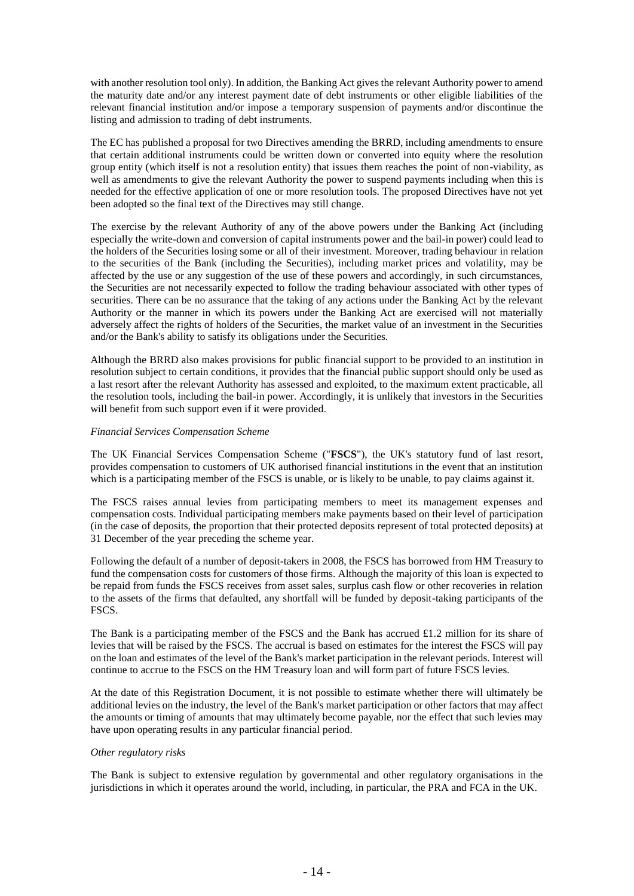with another resolution tool only). In addition, the Banking Act gives the relevant Authority power to amend the maturity date and/or any interest payment date of debt instruments or other eligible liabilities of the relevant financial institution and/or impose a temporary suspension of payments and/or discontinue the listing and admission to trading of debt instruments.

The EC has published a proposal for two Directives amending the BRRD, including amendments to ensure that certain additional instruments could be written down or converted into equity where the resolution group entity (which itself is not a resolution entity) that issues them reaches the point of non-viability, as well as amendments to give the relevant Authority the power to suspend payments including when this is needed for the effective application of one or more resolution tools. The proposed Directives have not yet been adopted so the final text of the Directives may still change.

The exercise by the relevant Authority of any of the above powers under the Banking Act (including especially the write-down and conversion of capital instruments power and the bail-in power) could lead to the holders of the Securities losing some or all of their investment. Moreover, trading behaviour in relation to the securities of the Bank (including the Securities), including market prices and volatility, may be affected by the use or any suggestion of the use of these powers and accordingly, in such circumstances, the Securities are not necessarily expected to follow the trading behaviour associated with other types of securities. There can be no assurance that the taking of any actions under the Banking Act by the relevant Authority or the manner in which its powers under the Banking Act are exercised will not materially adversely affect the rights of holders of the Securities, the market value of an investment in the Securities and/or the Bank's ability to satisfy its obligations under the Securities.

Although the BRRD also makes provisions for public financial support to be provided to an institution in resolution subject to certain conditions, it provides that the financial public support should only be used as a last resort after the relevant Authority has assessed and exploited, to the maximum extent practicable, all the resolution tools, including the bail-in power. Accordingly, it is unlikely that investors in the Securities will benefit from such support even if it were provided.

## *Financial Services Compensation Scheme*

The UK Financial Services Compensation Scheme ("**FSCS**"), the UK's statutory fund of last resort, provides compensation to customers of UK authorised financial institutions in the event that an institution which is a participating member of the FSCS is unable, or is likely to be unable, to pay claims against it.

The FSCS raises annual levies from participating members to meet its management expenses and compensation costs. Individual participating members make payments based on their level of participation (in the case of deposits, the proportion that their protected deposits represent of total protected deposits) at 31 December of the year preceding the scheme year.

Following the default of a number of deposit-takers in 2008, the FSCS has borrowed from HM Treasury to fund the compensation costs for customers of those firms. Although the majority of this loan is expected to be repaid from funds the FSCS receives from asset sales, surplus cash flow or other recoveries in relation to the assets of the firms that defaulted, any shortfall will be funded by deposit-taking participants of the FSCS.

The Bank is a participating member of the FSCS and the Bank has accrued £1.2 million for its share of levies that will be raised by the FSCS. The accrual is based on estimates for the interest the FSCS will pay on the loan and estimates of the level of the Bank's market participation in the relevant periods. Interest will continue to accrue to the FSCS on the HM Treasury loan and will form part of future FSCS levies.

At the date of this Registration Document, it is not possible to estimate whether there will ultimately be additional levies on the industry, the level of the Bank's market participation or other factors that may affect the amounts or timing of amounts that may ultimately become payable, nor the effect that such levies may have upon operating results in any particular financial period.

## *Other regulatory risks*

The Bank is subject to extensive regulation by governmental and other regulatory organisations in the jurisdictions in which it operates around the world, including, in particular, the PRA and FCA in the UK.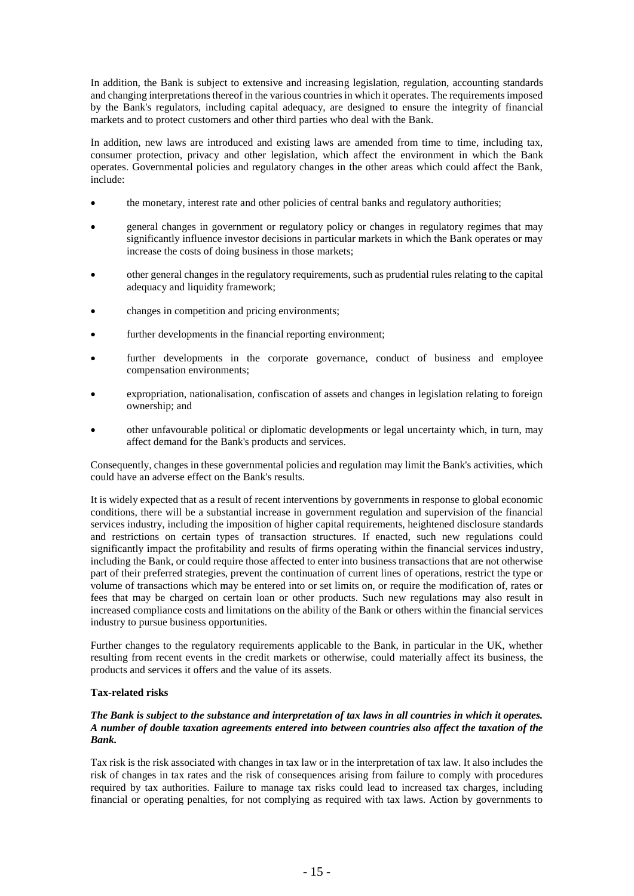In addition, the Bank is subject to extensive and increasing legislation, regulation, accounting standards and changing interpretations thereof in the various countries in which it operates. The requirements imposed by the Bank's regulators, including capital adequacy, are designed to ensure the integrity of financial markets and to protect customers and other third parties who deal with the Bank.

In addition, new laws are introduced and existing laws are amended from time to time, including tax, consumer protection, privacy and other legislation, which affect the environment in which the Bank operates. Governmental policies and regulatory changes in the other areas which could affect the Bank, include:

- the monetary, interest rate and other policies of central banks and regulatory authorities;
- general changes in government or regulatory policy or changes in regulatory regimes that may significantly influence investor decisions in particular markets in which the Bank operates or may increase the costs of doing business in those markets;
- other general changes in the regulatory requirements, such as prudential rules relating to the capital adequacy and liquidity framework;
- changes in competition and pricing environments;
- further developments in the financial reporting environment:
- further developments in the corporate governance, conduct of business and employee compensation environments;
- expropriation, nationalisation, confiscation of assets and changes in legislation relating to foreign ownership; and
- other unfavourable political or diplomatic developments or legal uncertainty which, in turn, may affect demand for the Bank's products and services.

Consequently, changes in these governmental policies and regulation may limit the Bank's activities, which could have an adverse effect on the Bank's results.

It is widely expected that as a result of recent interventions by governments in response to global economic conditions, there will be a substantial increase in government regulation and supervision of the financial services industry, including the imposition of higher capital requirements, heightened disclosure standards and restrictions on certain types of transaction structures. If enacted, such new regulations could significantly impact the profitability and results of firms operating within the financial services industry, including the Bank, or could require those affected to enter into business transactions that are not otherwise part of their preferred strategies, prevent the continuation of current lines of operations, restrict the type or volume of transactions which may be entered into or set limits on, or require the modification of, rates or fees that may be charged on certain loan or other products. Such new regulations may also result in increased compliance costs and limitations on the ability of the Bank or others within the financial services industry to pursue business opportunities.

Further changes to the regulatory requirements applicable to the Bank, in particular in the UK, whether resulting from recent events in the credit markets or otherwise, could materially affect its business, the products and services it offers and the value of its assets.

## **Tax-related risks**

## *The Bank is subject to the substance and interpretation of tax laws in all countries in which it operates. A number of double taxation agreements entered into between countries also affect the taxation of the Bank.*

Tax risk is the risk associated with changes in tax law or in the interpretation of tax law. It also includes the risk of changes in tax rates and the risk of consequences arising from failure to comply with procedures required by tax authorities. Failure to manage tax risks could lead to increased tax charges, including financial or operating penalties, for not complying as required with tax laws. Action by governments to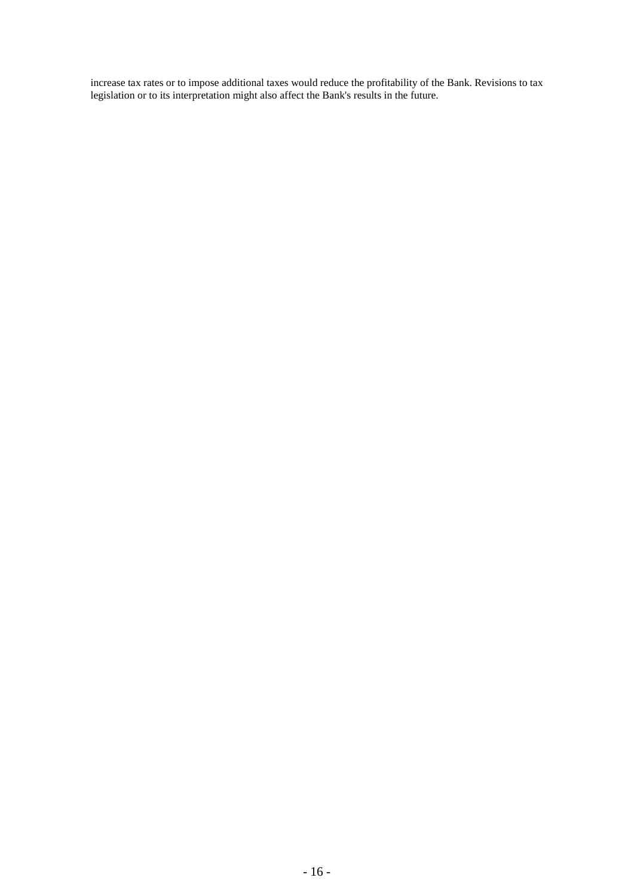increase tax rates or to impose additional taxes would reduce the profitability of the Bank. Revisions to tax legislation or to its interpretation might also affect the Bank's results in the future.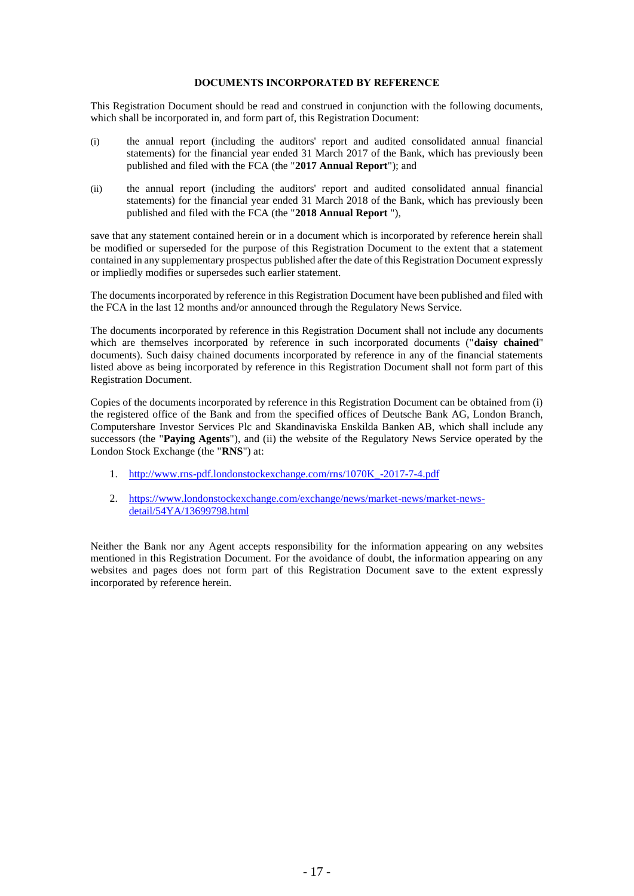#### **DOCUMENTS INCORPORATED BY REFERENCE**

This Registration Document should be read and construed in conjunction with the following documents, which shall be incorporated in, and form part of, this Registration Document:

- (i) the annual report (including the auditors' report and audited consolidated annual financial statements) for the financial year ended 31 March 2017 of the Bank, which has previously been published and filed with the FCA (the "**2017 Annual Report**"); and
- (ii) the annual report (including the auditors' report and audited consolidated annual financial statements) for the financial year ended 31 March 2018 of the Bank, which has previously been published and filed with the FCA (the "**2018 Annual Report** "),

save that any statement contained herein or in a document which is incorporated by reference herein shall be modified or superseded for the purpose of this Registration Document to the extent that a statement contained in any supplementary prospectus published after the date of this Registration Document expressly or impliedly modifies or supersedes such earlier statement.

The documents incorporated by reference in this Registration Document have been published and filed with the FCA in the last 12 months and/or announced through the Regulatory News Service.

The documents incorporated by reference in this Registration Document shall not include any documents which are themselves incorporated by reference in such incorporated documents ("**daisy chained**" documents). Such daisy chained documents incorporated by reference in any of the financial statements listed above as being incorporated by reference in this Registration Document shall not form part of this Registration Document.

Copies of the documents incorporated by reference in this Registration Document can be obtained from (i) the registered office of the Bank and from the specified offices of Deutsche Bank AG, London Branch, Computershare Investor Services Plc and Skandinaviska Enskilda Banken AB, which shall include any successors (the "**Paying Agents**"), and (ii) the website of the Regulatory News Service operated by the London Stock Exchange (the "**RNS**") at:

- 1. [http://www.rns-pdf.londonstockexchange.com/rns/1070K\\_-2017-7-4.pdf](http://www.rns-pdf.londonstockexchange.com/rns/1070K_-2017-7-4.pdf)
- 2. [https://www.londonstockexchange.com/exchange/news/market-news/market-news](https://www.londonstockexchange.com/exchange/news/market-news/market-news-detail/54YA/13699798.html)[detail/54YA/13699798.html](https://www.londonstockexchange.com/exchange/news/market-news/market-news-detail/54YA/13699798.html)

Neither the Bank nor any Agent accepts responsibility for the information appearing on any websites mentioned in this Registration Document. For the avoidance of doubt, the information appearing on any websites and pages does not form part of this Registration Document save to the extent expressly incorporated by reference herein.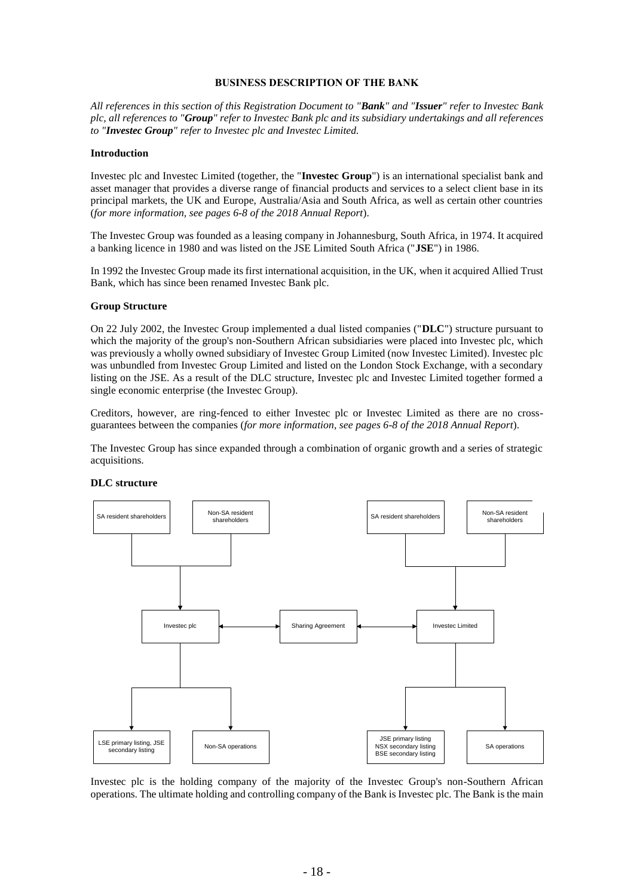#### **BUSINESS DESCRIPTION OF THE BANK**

*All references in this section of this Registration Document to "Bank" and "Issuer" refer to Investec Bank plc, all references to "Group" refer to Investec Bank plc and its subsidiary undertakings and all references to "Investec Group" refer to Investec plc and Investec Limited.*

#### **Introduction**

Investec plc and Investec Limited (together, the "**Investec Group**") is an international specialist bank and asset manager that provides a diverse range of financial products and services to a select client base in its principal markets, the UK and Europe, Australia/Asia and South Africa, as well as certain other countries (*for more information, see pages 6-8 of the 2018 Annual Report*).

The Investec Group was founded as a leasing company in Johannesburg, South Africa, in 1974. It acquired a banking licence in 1980 and was listed on the JSE Limited South Africa ("**JSE**") in 1986.

In 1992 the Investec Group made its first international acquisition, in the UK, when it acquired Allied Trust Bank, which has since been renamed Investec Bank plc.

#### **Group Structure**

On 22 July 2002, the Investec Group implemented a dual listed companies ("**DLC**") structure pursuant to which the majority of the group's non-Southern African subsidiaries were placed into Investec plc, which was previously a wholly owned subsidiary of Investec Group Limited (now Investec Limited). Investec plc was unbundled from Investec Group Limited and listed on the London Stock Exchange, with a secondary listing on the JSE. As a result of the DLC structure, Investec plc and Investec Limited together formed a single economic enterprise (the Investec Group).

Creditors, however, are ring-fenced to either Investec plc or Investec Limited as there are no crossguarantees between the companies (*for more information, see pages 6-8 of the 2018 Annual Report*).

The Investec Group has since expanded through a combination of organic growth and a series of strategic acquisitions.



#### **DLC structure**

Investec plc is the holding company of the majority of the Investec Group's non-Southern African operations. The ultimate holding and controlling company of the Bank is Investec plc. The Bank is the main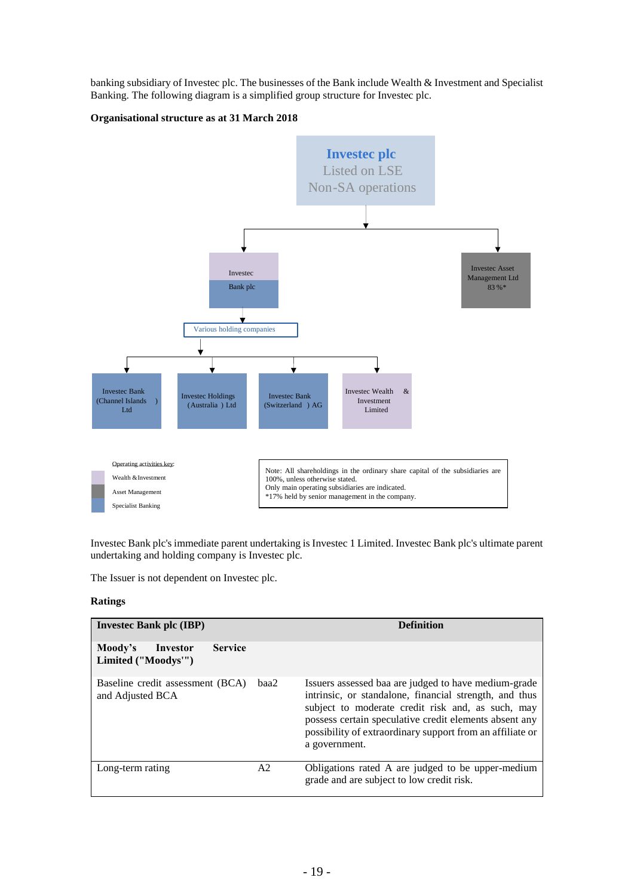banking subsidiary of Investec plc. The businesses of the Bank include Wealth & Investment and Specialist Banking. The following diagram is a simplified group structure for Investec plc.

## **Organisational structure as at 31 March 2018**



Investec Bank plc's immediate parent undertaking is Investec 1 Limited. Investec Bank plc's ultimate parent undertaking and holding company is Investec plc.

The Issuer is not dependent on Investec plc.

## **Ratings**

| <b>Invested Bank plc (IBP)</b>                               |      | <b>Definition</b>                                                                                                                                                                                                                                                                                           |  |
|--------------------------------------------------------------|------|-------------------------------------------------------------------------------------------------------------------------------------------------------------------------------------------------------------------------------------------------------------------------------------------------------------|--|
| Moody's<br><b>Service</b><br>Investor<br>Limited ("Moodys"") |      |                                                                                                                                                                                                                                                                                                             |  |
| Baseline credit assessment (BCA)<br>and Adjusted BCA         | baa2 | Issuers assessed baa are judged to have medium-grade<br>intrinsic, or standalone, financial strength, and thus<br>subject to moderate credit risk and, as such, may<br>possess certain speculative credit elements absent any<br>possibility of extraordinary support from an affiliate or<br>a government. |  |
| Long-term rating                                             | A2   | Obligations rated A are judged to be upper-medium<br>grade and are subject to low credit risk.                                                                                                                                                                                                              |  |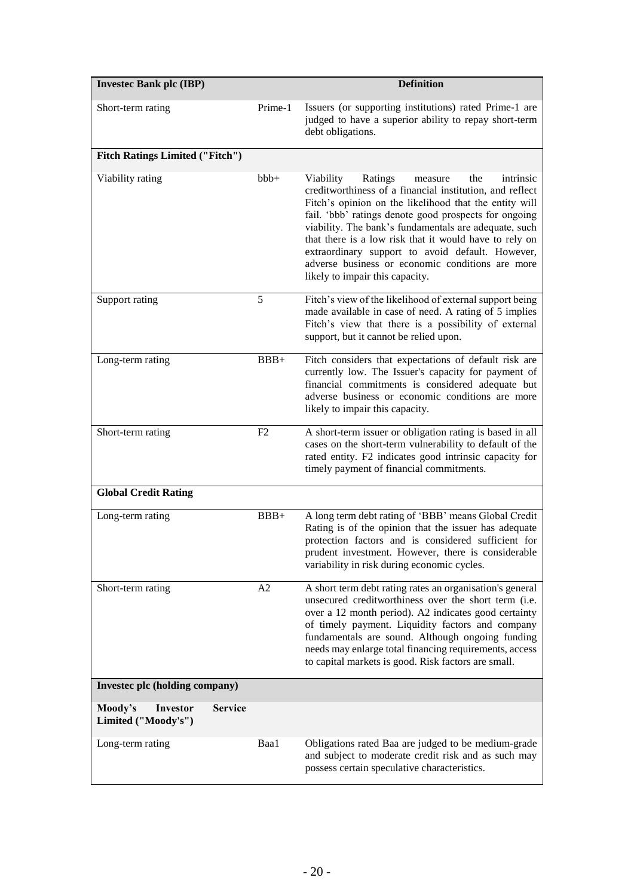| <b>Invested Bank plc (IBP)</b>             |                |                | <b>Definition</b>                                                                                                                                                                                                                                                                                                                                                                                                                                                                                |
|--------------------------------------------|----------------|----------------|--------------------------------------------------------------------------------------------------------------------------------------------------------------------------------------------------------------------------------------------------------------------------------------------------------------------------------------------------------------------------------------------------------------------------------------------------------------------------------------------------|
| Short-term rating                          |                | Prime-1        | Issuers (or supporting institutions) rated Prime-1 are<br>judged to have a superior ability to repay short-term<br>debt obligations.                                                                                                                                                                                                                                                                                                                                                             |
| <b>Fitch Ratings Limited ("Fitch")</b>     |                |                |                                                                                                                                                                                                                                                                                                                                                                                                                                                                                                  |
| Viability rating                           |                | $bbb+$         | Ratings<br>Viability<br>the<br>intrinsic<br>measure<br>creditworthiness of a financial institution, and reflect<br>Fitch's opinion on the likelihood that the entity will<br>fail. 'bbb' ratings denote good prospects for ongoing<br>viability. The bank's fundamentals are adequate, such<br>that there is a low risk that it would have to rely on<br>extraordinary support to avoid default. However,<br>adverse business or economic conditions are more<br>likely to impair this capacity. |
| Support rating                             |                | 5              | Fitch's view of the likelihood of external support being<br>made available in case of need. A rating of 5 implies<br>Fitch's view that there is a possibility of external<br>support, but it cannot be relied upon.                                                                                                                                                                                                                                                                              |
| Long-term rating                           |                | $BBB+$         | Fitch considers that expectations of default risk are<br>currently low. The Issuer's capacity for payment of<br>financial commitments is considered adequate but<br>adverse business or economic conditions are more<br>likely to impair this capacity.                                                                                                                                                                                                                                          |
| Short-term rating                          |                | F <sub>2</sub> | A short-term issuer or obligation rating is based in all<br>cases on the short-term vulnerability to default of the<br>rated entity. F2 indicates good intrinsic capacity for<br>timely payment of financial commitments.                                                                                                                                                                                                                                                                        |
| <b>Global Credit Rating</b>                |                |                |                                                                                                                                                                                                                                                                                                                                                                                                                                                                                                  |
| Long-term rating                           |                | $BBB+$         | A long term debt rating of 'BBB' means Global Credit<br>Rating is of the opinion that the issuer has adequate<br>protection factors and is considered sufficient for<br>prudent investment. However, there is considerable<br>variability in risk during economic cycles.                                                                                                                                                                                                                        |
| Short-term rating                          |                | A2             | A short term debt rating rates an organisation's general<br>unsecured creditworthiness over the short term (i.e.<br>over a 12 month period). A2 indicates good certainty<br>of timely payment. Liquidity factors and company<br>fundamentals are sound. Although ongoing funding<br>needs may enlarge total financing requirements, access<br>to capital markets is good. Risk factors are small.                                                                                                |
| Invested plc (holding company)             |                |                |                                                                                                                                                                                                                                                                                                                                                                                                                                                                                                  |
| Moody's<br>Investor<br>Limited ("Moody's") | <b>Service</b> |                |                                                                                                                                                                                                                                                                                                                                                                                                                                                                                                  |
| Long-term rating                           |                | Baa1           | Obligations rated Baa are judged to be medium-grade<br>and subject to moderate credit risk and as such may<br>possess certain speculative characteristics.                                                                                                                                                                                                                                                                                                                                       |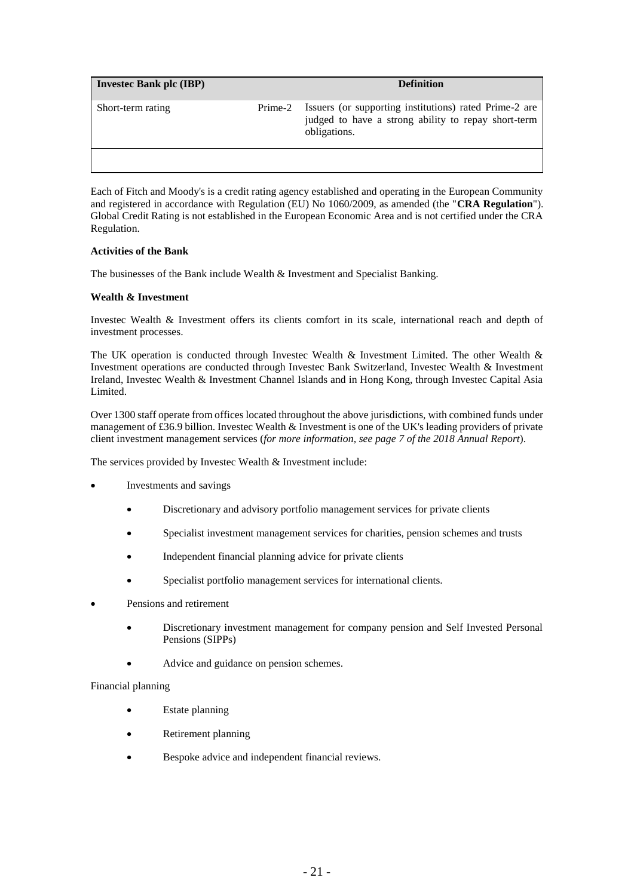| <b>Invested Bank plc (IBP)</b> |         | <b>Definition</b>                                                                                                             |
|--------------------------------|---------|-------------------------------------------------------------------------------------------------------------------------------|
| Short-term rating              | Prime-2 | Issuers (or supporting institutions) rated Prime-2 are<br>judged to have a strong ability to repay short-term<br>obligations. |
|                                |         |                                                                                                                               |

Each of Fitch and Moody's is a credit rating agency established and operating in the European Community and registered in accordance with Regulation (EU) No 1060/2009, as amended (the "**CRA Regulation**"). Global Credit Rating is not established in the European Economic Area and is not certified under the CRA Regulation.

## **Activities of the Bank**

The businesses of the Bank include Wealth & Investment and Specialist Banking.

## **Wealth & Investment**

Investec Wealth & Investment offers its clients comfort in its scale, international reach and depth of investment processes.

The UK operation is conducted through Investec Wealth & Investment Limited. The other Wealth & Investment operations are conducted through Investec Bank Switzerland, Investec Wealth & Investment Ireland, Investec Wealth & Investment Channel Islands and in Hong Kong, through Investec Capital Asia Limited.

Over 1300 staff operate from offices located throughout the above jurisdictions, with combined funds under management of £36.9 billion. Investec Wealth & Investment is one of the UK's leading providers of private client investment management services (*for more information, see page 7 of the 2018 Annual Report*).

The services provided by Investec Wealth & Investment include:

- Investments and savings
	- Discretionary and advisory portfolio management services for private clients
	- Specialist investment management services for charities, pension schemes and trusts
	- Independent financial planning advice for private clients
	- Specialist portfolio management services for international clients.
- Pensions and retirement
	- Discretionary investment management for company pension and Self Invested Personal Pensions (SIPPs)
	- Advice and guidance on pension schemes.

#### Financial planning

- Estate planning
- Retirement planning
- Bespoke advice and independent financial reviews.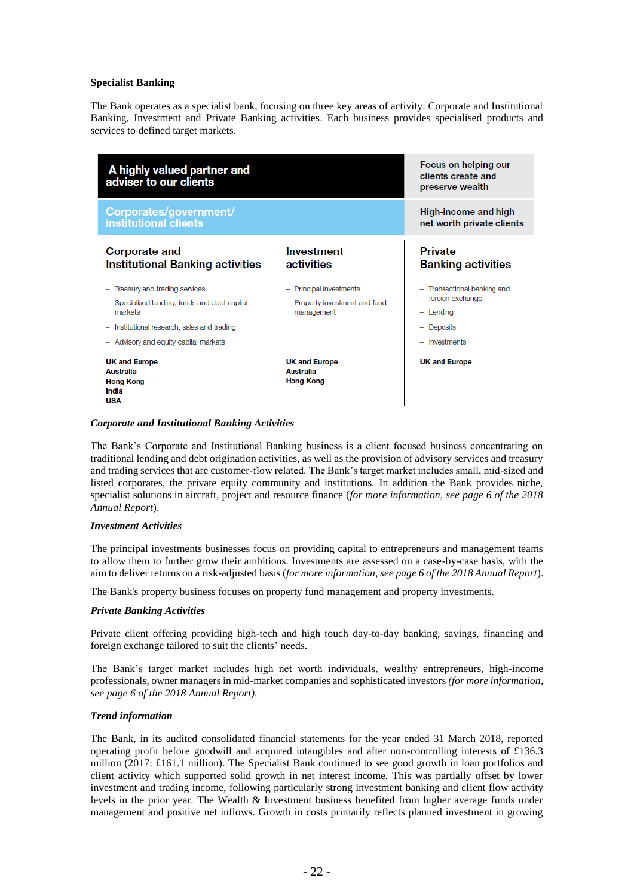#### **Specialist Banking**

The Bank operates as a specialist bank, focusing on three key areas of activity: Corporate and Institutional Banking, Investment and Private Banking activities. Each business provides specialised products and services to defined target markets.



#### *Corporate and Institutional Banking Activities*

The Bank's Corporate and Institutional Banking business is a client focused business concentrating on traditional lending and debt origination activities, as well as the provision of advisory services and treasury and trading services that are customer-flow related. The Bank's target market includes small, mid-sized and listed corporates, the private equity community and institutions. In addition the Bank provides niche, specialist solutions in aircraft, project and resource finance (*for more information, see page 6 of the 2018 Annual Report*).

#### *Investment Activities*

The principal investments businesses focus on providing capital to entrepreneurs and management teams to allow them to further grow their ambitions. Investments are assessed on a case-by-case basis, with the aim to deliver returns on a risk-adjusted basis (*for more information, see page 6 of the 2018 Annual Report*).

The Bank's property business focuses on property fund management and property investments.

#### *Private Banking Activities*

Private client offering providing high-tech and high touch day-to-day banking, savings, financing and foreign exchange tailored to suit the clients' needs.

The Bank's target market includes high net worth individuals, wealthy entrepreneurs, high-income professionals, owner managers in mid-market companies and sophisticated investors *(for more information, see page 6 of the 2018 Annual Report)*.

#### *Trend information*

The Bank, in its audited consolidated financial statements for the year ended 31 March 2018, reported operating profit before goodwill and acquired intangibles and after non-controlling interests of £136.3 million (2017: £161.1 million). The Specialist Bank continued to see good growth in loan portfolios and client activity which supported solid growth in net interest income. This was partially offset by lower investment and trading income, following particularly strong investment banking and client flow activity levels in the prior year. The Wealth & Investment business benefited from higher average funds under management and positive net inflows. Growth in costs primarily reflects planned investment in growing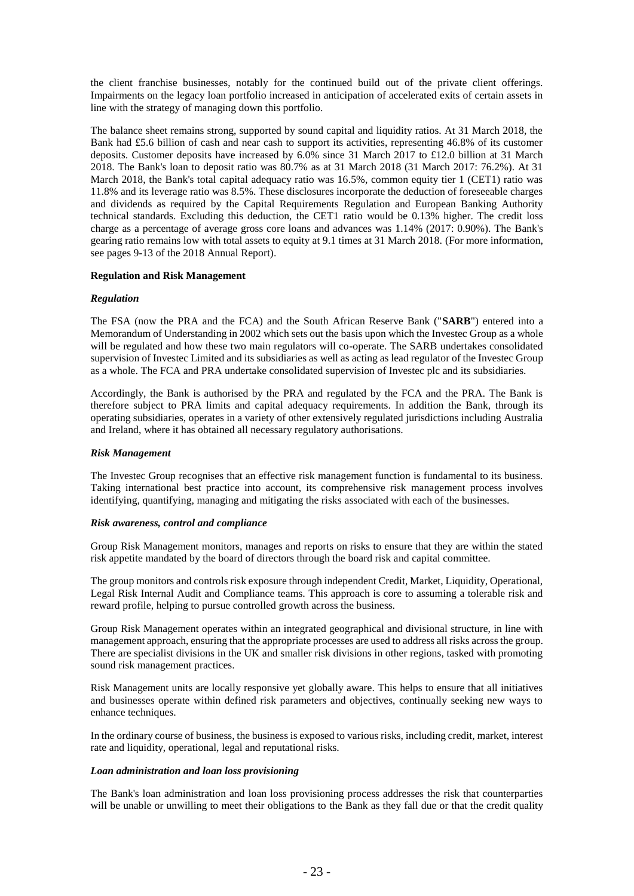the client franchise businesses, notably for the continued build out of the private client offerings. Impairments on the legacy loan portfolio increased in anticipation of accelerated exits of certain assets in line with the strategy of managing down this portfolio.

The balance sheet remains strong, supported by sound capital and liquidity ratios. At 31 March 2018, the Bank had £5.6 billion of cash and near cash to support its activities, representing 46.8% of its customer deposits. Customer deposits have increased by 6.0% since 31 March 2017 to £12.0 billion at 31 March 2018. The Bank's loan to deposit ratio was 80.7% as at 31 March 2018 (31 March 2017: 76.2%). At 31 March 2018, the Bank's total capital adequacy ratio was 16.5%, common equity tier 1 (CET1) ratio was 11.8% and its leverage ratio was 8.5%. These disclosures incorporate the deduction of foreseeable charges and dividends as required by the Capital Requirements Regulation and European Banking Authority technical standards. Excluding this deduction, the CET1 ratio would be 0.13% higher. The credit loss charge as a percentage of average gross core loans and advances was 1.14% (2017: 0.90%). The Bank's gearing ratio remains low with total assets to equity at 9.1 times at 31 March 2018. (For more information, see pages 9-13 of the 2018 Annual Report).

## **Regulation and Risk Management**

#### *Regulation*

The FSA (now the PRA and the FCA) and the South African Reserve Bank ("**SARB**") entered into a Memorandum of Understanding in 2002 which sets out the basis upon which the Investec Group as a whole will be regulated and how these two main regulators will co-operate. The SARB undertakes consolidated supervision of Investec Limited and its subsidiaries as well as acting as lead regulator of the Investec Group as a whole. The FCA and PRA undertake consolidated supervision of Investec plc and its subsidiaries.

Accordingly, the Bank is authorised by the PRA and regulated by the FCA and the PRA. The Bank is therefore subject to PRA limits and capital adequacy requirements. In addition the Bank, through its operating subsidiaries, operates in a variety of other extensively regulated jurisdictions including Australia and Ireland, where it has obtained all necessary regulatory authorisations.

#### *Risk Management*

The Investec Group recognises that an effective risk management function is fundamental to its business. Taking international best practice into account, its comprehensive risk management process involves identifying, quantifying, managing and mitigating the risks associated with each of the businesses.

#### *Risk awareness, control and compliance*

Group Risk Management monitors, manages and reports on risks to ensure that they are within the stated risk appetite mandated by the board of directors through the board risk and capital committee.

The group monitors and controls risk exposure through independent Credit, Market, Liquidity, Operational, Legal Risk Internal Audit and Compliance teams. This approach is core to assuming a tolerable risk and reward profile, helping to pursue controlled growth across the business.

Group Risk Management operates within an integrated geographical and divisional structure, in line with management approach, ensuring that the appropriate processes are used to address all risks across the group. There are specialist divisions in the UK and smaller risk divisions in other regions, tasked with promoting sound risk management practices.

Risk Management units are locally responsive yet globally aware. This helps to ensure that all initiatives and businesses operate within defined risk parameters and objectives, continually seeking new ways to enhance techniques.

In the ordinary course of business, the business is exposed to various risks, including credit, market, interest rate and liquidity, operational, legal and reputational risks.

## *Loan administration and loan loss provisioning*

The Bank's loan administration and loan loss provisioning process addresses the risk that counterparties will be unable or unwilling to meet their obligations to the Bank as they fall due or that the credit quality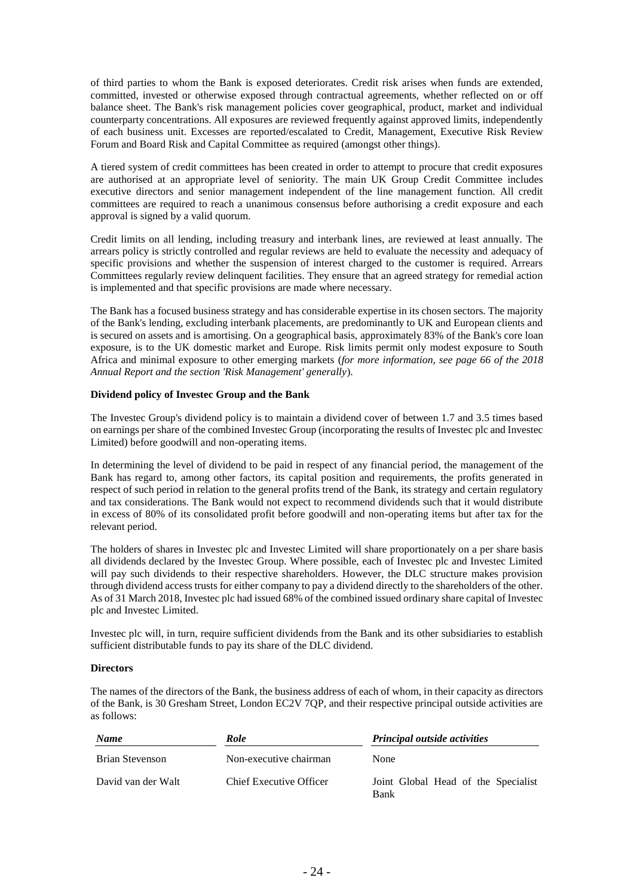of third parties to whom the Bank is exposed deteriorates. Credit risk arises when funds are extended, committed, invested or otherwise exposed through contractual agreements, whether reflected on or off balance sheet. The Bank's risk management policies cover geographical, product, market and individual counterparty concentrations. All exposures are reviewed frequently against approved limits, independently of each business unit. Excesses are reported/escalated to Credit, Management, Executive Risk Review Forum and Board Risk and Capital Committee as required (amongst other things).

A tiered system of credit committees has been created in order to attempt to procure that credit exposures are authorised at an appropriate level of seniority. The main UK Group Credit Committee includes executive directors and senior management independent of the line management function. All credit committees are required to reach a unanimous consensus before authorising a credit exposure and each approval is signed by a valid quorum.

Credit limits on all lending, including treasury and interbank lines, are reviewed at least annually. The arrears policy is strictly controlled and regular reviews are held to evaluate the necessity and adequacy of specific provisions and whether the suspension of interest charged to the customer is required. Arrears Committees regularly review delinquent facilities. They ensure that an agreed strategy for remedial action is implemented and that specific provisions are made where necessary.

The Bank has a focused business strategy and has considerable expertise in its chosen sectors. The majority of the Bank's lending, excluding interbank placements, are predominantly to UK and European clients and is secured on assets and is amortising. On a geographical basis, approximately 83% of the Bank's core loan exposure, is to the UK domestic market and Europe. Risk limits permit only modest exposure to South Africa and minimal exposure to other emerging markets (*for more information, see page 66 of the 2018 Annual Report and the section 'Risk Management' generally*).

## **Dividend policy of Investec Group and the Bank**

The Investec Group's dividend policy is to maintain a dividend cover of between 1.7 and 3.5 times based on earnings per share of the combined Investec Group (incorporating the results of Investec plc and Investec Limited) before goodwill and non-operating items.

In determining the level of dividend to be paid in respect of any financial period, the management of the Bank has regard to, among other factors, its capital position and requirements, the profits generated in respect of such period in relation to the general profits trend of the Bank, its strategy and certain regulatory and tax considerations. The Bank would not expect to recommend dividends such that it would distribute in excess of 80% of its consolidated profit before goodwill and non-operating items but after tax for the relevant period.

The holders of shares in Investec plc and Investec Limited will share proportionately on a per share basis all dividends declared by the Investec Group. Where possible, each of Investec plc and Investec Limited will pay such dividends to their respective shareholders. However, the DLC structure makes provision through dividend access trusts for either company to pay a dividend directly to the shareholders of the other. As of 31 March 2018, Investec plc had issued 68% of the combined issued ordinary share capital of Investec plc and Investec Limited.

Investec plc will, in turn, require sufficient dividends from the Bank and its other subsidiaries to establish sufficient distributable funds to pay its share of the DLC dividend.

#### **Directors**

The names of the directors of the Bank, the business address of each of whom, in their capacity as directors of the Bank, is 30 Gresham Street, London EC2V 7QP, and their respective principal outside activities are as follows:

| <b>Name</b>        | Role                    | <b>Principal outside activities</b>         |  |
|--------------------|-------------------------|---------------------------------------------|--|
| Brian Stevenson    | Non-executive chairman  | <b>None</b>                                 |  |
| David van der Walt | Chief Executive Officer | Joint Global Head of the Specialist<br>Bank |  |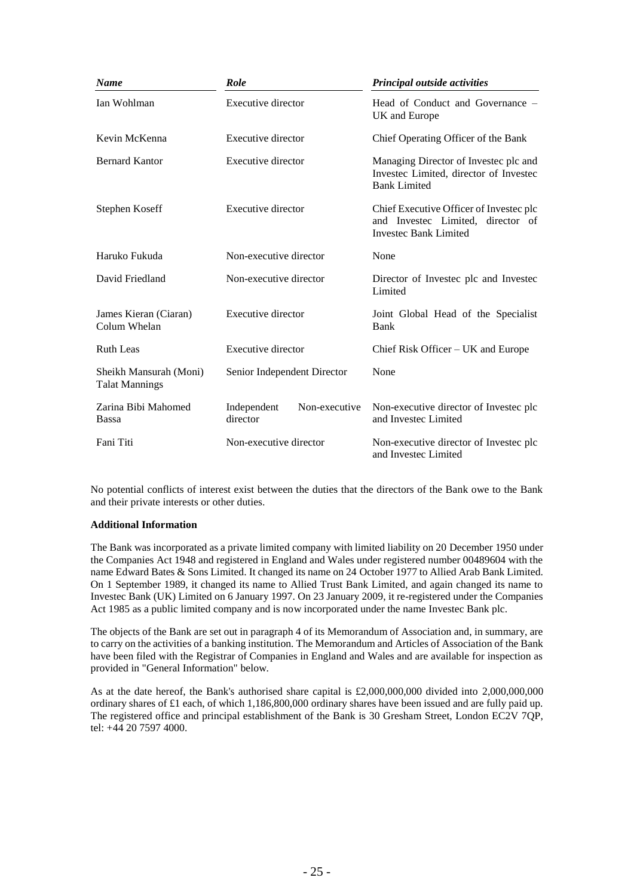| <b>Name</b>                                     | Role                                     | Principal outside activities                                                                                 |
|-------------------------------------------------|------------------------------------------|--------------------------------------------------------------------------------------------------------------|
| Ian Wohlman                                     | <b>Executive director</b>                | Head of Conduct and Governance –<br>UK and Europe                                                            |
| Kevin McKenna                                   | Executive director                       | Chief Operating Officer of the Bank                                                                          |
| <b>Bernard Kantor</b>                           | Executive director                       | Managing Director of Invested plc and<br>Investec Limited, director of Investec<br><b>Bank Limited</b>       |
| Stephen Koseff                                  | Executive director                       | Chief Executive Officer of Invested plc<br>and Invested Limited, director of<br><b>Investec Bank Limited</b> |
| Haruko Fukuda                                   | Non-executive director                   | None                                                                                                         |
| David Friedland                                 | Non-executive director                   | Director of Invested plc and Invested<br>Limited                                                             |
| James Kieran (Ciaran)<br>Colum Whelan           | <b>Executive director</b>                | Joint Global Head of the Specialist<br>Bank                                                                  |
| <b>Ruth Leas</b>                                | Executive director                       | Chief Risk Officer $- UK$ and Europe                                                                         |
| Sheikh Mansurah (Moni)<br><b>Talat Mannings</b> | Senior Independent Director              | None                                                                                                         |
| Zarina Bibi Mahomed<br><b>Bassa</b>             | Non-executive<br>Independent<br>director | Non-executive director of Invested plc<br>and Investec Limited                                               |
| Fani Titi                                       | Non-executive director                   | Non-executive director of Investec plc<br>and Investec Limited                                               |

No potential conflicts of interest exist between the duties that the directors of the Bank owe to the Bank and their private interests or other duties.

## **Additional Information**

The Bank was incorporated as a private limited company with limited liability on 20 December 1950 under the Companies Act 1948 and registered in England and Wales under registered number 00489604 with the name Edward Bates & Sons Limited. It changed its name on 24 October 1977 to Allied Arab Bank Limited. On 1 September 1989, it changed its name to Allied Trust Bank Limited, and again changed its name to Investec Bank (UK) Limited on 6 January 1997. On 23 January 2009, it re-registered under the Companies Act 1985 as a public limited company and is now incorporated under the name Investec Bank plc.

The objects of the Bank are set out in paragraph 4 of its Memorandum of Association and, in summary, are to carry on the activities of a banking institution. The Memorandum and Articles of Association of the Bank have been filed with the Registrar of Companies in England and Wales and are available for inspection as provided in "General Information" below.

As at the date hereof, the Bank's authorised share capital is £2,000,000,000 divided into 2,000,000,000 ordinary shares of £1 each, of which 1,186,800,000 ordinary shares have been issued and are fully paid up. The registered office and principal establishment of the Bank is 30 Gresham Street, London EC2V 7QP, tel: +44 20 7597 4000.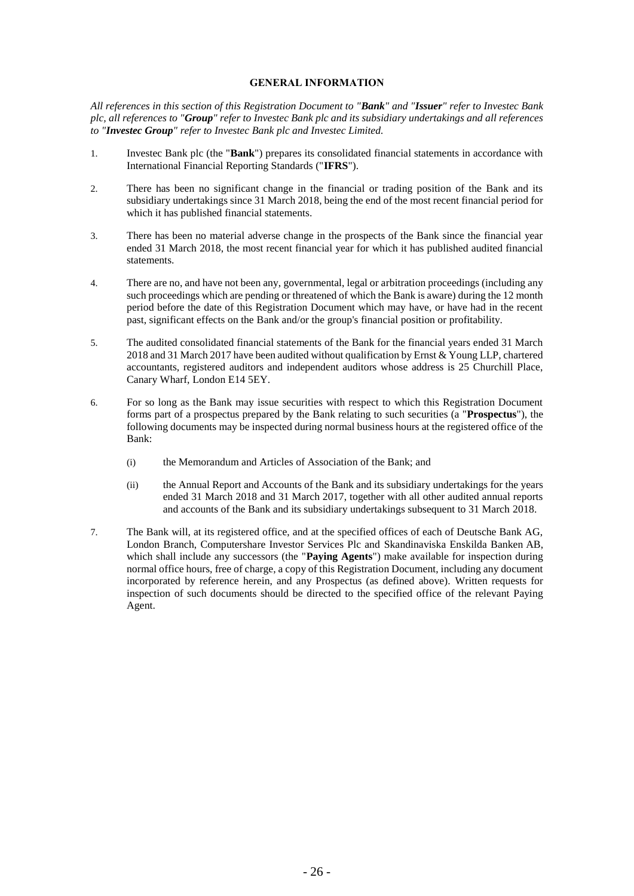## **GENERAL INFORMATION**

*All references in this section of this Registration Document to "Bank" and "Issuer" refer to Investec Bank plc, all references to "Group" refer to Investec Bank plc and its subsidiary undertakings and all references to "Investec Group" refer to Investec Bank plc and Investec Limited.*

- 1. Investec Bank plc (the "**Bank**") prepares its consolidated financial statements in accordance with International Financial Reporting Standards ("**IFRS**").
- 2. There has been no significant change in the financial or trading position of the Bank and its subsidiary undertakings since 31 March 2018, being the end of the most recent financial period for which it has published financial statements.
- 3. There has been no material adverse change in the prospects of the Bank since the financial year ended 31 March 2018, the most recent financial year for which it has published audited financial statements.
- 4. There are no, and have not been any, governmental, legal or arbitration proceedings (including any such proceedings which are pending or threatened of which the Bank is aware) during the 12 month period before the date of this Registration Document which may have, or have had in the recent past, significant effects on the Bank and/or the group's financial position or profitability.
- 5. The audited consolidated financial statements of the Bank for the financial years ended 31 March 2018 and 31 March 2017 have been audited without qualification by Ernst & Young LLP, chartered accountants, registered auditors and independent auditors whose address is 25 Churchill Place, Canary Wharf, London E14 5EY.
- 6. For so long as the Bank may issue securities with respect to which this Registration Document forms part of a prospectus prepared by the Bank relating to such securities (a "**Prospectus**"), the following documents may be inspected during normal business hours at the registered office of the Bank:
	- (i) the Memorandum and Articles of Association of the Bank; and
	- (ii) the Annual Report and Accounts of the Bank and its subsidiary undertakings for the years ended 31 March 2018 and 31 March 2017, together with all other audited annual reports and accounts of the Bank and its subsidiary undertakings subsequent to 31 March 2018.
- 7. The Bank will, at its registered office, and at the specified offices of each of Deutsche Bank AG, London Branch, Computershare Investor Services Plc and Skandinaviska Enskilda Banken AB, which shall include any successors (the "**Paying Agents**") make available for inspection during normal office hours, free of charge, a copy of this Registration Document, including any document incorporated by reference herein, and any Prospectus (as defined above). Written requests for inspection of such documents should be directed to the specified office of the relevant Paying Agent.